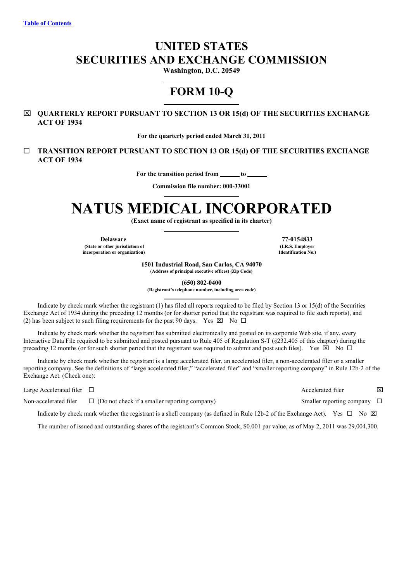# <span id="page-0-0"></span>**UNITED STATES SECURITIES AND EXCHANGE COMMISSION**

**Washington, D.C. 20549**

# **FORM 10-Q**

# x **QUARTERLY REPORT PURSUANT TO SECTION 13 OR 15(d) OF THE SECURITIES EXCHANGE ACT OF 1934**

**For the quarterly period ended March 31, 2011**

¨ **TRANSITION REPORT PURSUANT TO SECTION 13 OR 15(d) OF THE SECURITIES EXCHANGE ACT OF 1934**

**For the transition period from to**

**Commission file number: 000-33001**

# **NATUS MEDICAL INCORPORATED**

**(Exact name of registrant as specified in its charter)**

**Delaware 77-0154833 (State or other jurisdiction of incorporation or organization)**

**(I.R.S. Employer Identification No.)**

**1501 Industrial Road, San Carlos, CA 94070 (Address of principal executive offices) (Zip Code)**

**(650) 802-0400**

**(Registrant's telephone number, including area code)**

Indicate by check mark whether the registrant (1) has filed all reports required to be filed by Section 13 or 15(d) of the Securities Exchange Act of 1934 during the preceding 12 months (or for shorter period that the registrant was required to file such reports), and (2) has been subject to such filing requirements for the past 90 days. Yes  $\boxtimes$  No  $\Box$ 

Indicate by check mark whether the registrant has submitted electronically and posted on its corporate Web site, if any, every Interactive Data File required to be submitted and posted pursuant to Rule 405 of Regulation S-T (§232.405 of this chapter) during the preceding 12 months (or for such shorter period that the registrant was required to submit and post such files). Yes  $\boxtimes$  No  $\Box$ 

Indicate by check mark whether the registrant is a large accelerated filer, an accelerated filer, a non-accelerated filer or a smaller reporting company. See the definitions of "large accelerated filer," "accelerated filer" and "smaller reporting company" in Rule 12b-2 of the Exchange Act. (Check one):

Large Accelerated filer  $\Box$ Non-accelerated filer  $\Box$  (Do not check if a smaller reporting company) Smaller reporting company  $\Box$ Indicate by check mark whether the registrant is a shell company (as defined in Rule 12b-2 of the Exchange Act). Yes  $\Box$  No  $\boxtimes$ 

The number of issued and outstanding shares of the registrant's Common Stock, \$0.001 par value, as of May 2, 2011 was 29,004,300.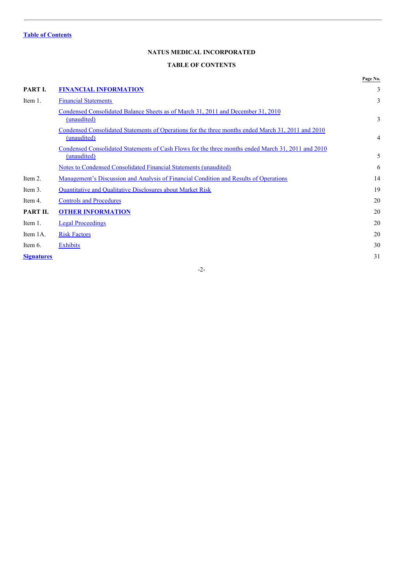# **NATUS MEDICAL INCORPORATED**

# **TABLE OF CONTENTS**

|                   |                                                                                                                   | Page No. |
|-------------------|-------------------------------------------------------------------------------------------------------------------|----------|
| PART I.           | <b>FINANCIAL INFORMATION</b>                                                                                      | 3        |
| Item 1.           | <b>Financial Statements</b>                                                                                       | 3        |
|                   | Condensed Consolidated Balance Sheets as of March 31, 2011 and December 31, 2010<br>(unaudited)                   | 3        |
|                   | Condensed Consolidated Statements of Operations for the three months ended March 31, 2011 and 2010<br>(unaudited) | 4        |
|                   | Condensed Consolidated Statements of Cash Flows for the three months ended March 31, 2011 and 2010<br>(unaudited) | 5        |
|                   | Notes to Condensed Consolidated Financial Statements (unaudited)                                                  | 6        |
| Item 2.           | Management's Discussion and Analysis of Financial Condition and Results of Operations                             | 14       |
| Item 3.           | Quantitative and Qualitative Disclosures about Market Risk                                                        | 19       |
| Item 4.           | <b>Controls and Procedures</b>                                                                                    | 20       |
| PART II.          | <b>OTHER INFORMATION</b>                                                                                          | 20       |
| Item 1.           | <b>Legal Proceedings</b>                                                                                          | 20       |
| Item 1A.          | <b>Risk Factors</b>                                                                                               | 20       |
| Item 6.           | <b>Exhibits</b>                                                                                                   | 30       |
| <b>Signatures</b> |                                                                                                                   | 31       |

-2-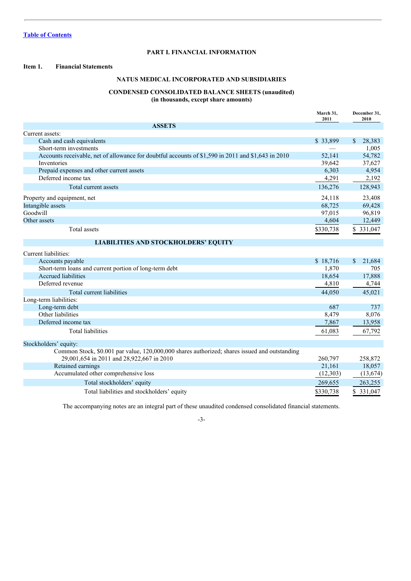## **PART I. FINANCIAL INFORMATION**

# **Item 1. Financial Statements**

# **NATUS MEDICAL INCORPORATED AND SUBSIDIARIES**

## **CONDENSED CONSOLIDATED BALANCE SHEETS (unaudited)**

**(in thousands, except share amounts)**

|                                                                                                    | March 31,<br>2011 | December 31,<br>2010   |
|----------------------------------------------------------------------------------------------------|-------------------|------------------------|
| <b>ASSETS</b>                                                                                      |                   |                        |
| Current assets:                                                                                    |                   |                        |
| Cash and cash equivalents                                                                          | \$33,899          | 28,383<br>$\mathbb{S}$ |
| Short-term investments                                                                             |                   | 1,005                  |
| Accounts receivable, net of allowance for doubtful accounts of \$1,590 in 2011 and \$1,643 in 2010 | 52,141            | 54,782                 |
| Inventories                                                                                        | 39,642            | 37,627                 |
| Prepaid expenses and other current assets                                                          | 6,303             | 4,954                  |
| Deferred income tax                                                                                | 4,291             | 2,192                  |
| Total current assets                                                                               | 136,276           | 128,943                |
| Property and equipment, net                                                                        | 24,118            | 23,408                 |
| Intangible assets                                                                                  | 68,725            | 69,428                 |
| Goodwill                                                                                           | 97,015            | 96,819                 |
| Other assets                                                                                       | 4,604             | 12,449                 |
| <b>Total</b> assets                                                                                | \$330,738         | \$ 331,047             |
| <b>LIABILITIES AND STOCKHOLDERS' EQUITY</b>                                                        |                   |                        |
| Current liabilities:                                                                               |                   |                        |
| Accounts payable                                                                                   | \$18,716          | $\mathbb{S}$<br>21,684 |
| Short-term loans and current portion of long-term debt                                             | 1,870             | 705                    |
| <b>Accrued</b> liabilities                                                                         | 18,654            | 17,888                 |
| Deferred revenue                                                                                   | 4,810             | 4,744                  |
| Total current liabilities                                                                          | 44.050            | 45,021                 |
| Long-term liabilities:                                                                             |                   |                        |
| Long-term debt                                                                                     | 687               | 737                    |
| Other liabilities                                                                                  | 8,479             | 8,076                  |
| Deferred income tax                                                                                | 7,867             | 13,958                 |
| <b>Total liabilities</b>                                                                           | 61.083            | 67,792                 |
| Stockholders' equity:                                                                              |                   |                        |
| Common Stock, \$0.001 par value, 120,000,000 shares authorized; shares issued and outstanding      |                   |                        |
| 29,001,654 in 2011 and 28,922,667 in 2010                                                          | 260,797           | 258,872                |
| Retained earnings                                                                                  | 21,161            | 18,057                 |
| Accumulated other comprehensive loss                                                               | (12,303)          | (13, 674)              |
| Total stockholders' equity                                                                         | 269,655           | 263,255                |
| Total liabilities and stockholders' equity                                                         | \$330,738         | \$331,047              |

The accompanying notes are an integral part of these unaudited condensed consolidated financial statements.

## -3-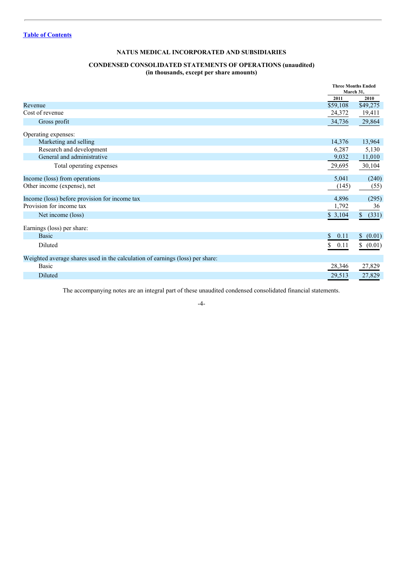# **NATUS MEDICAL INCORPORATED AND SUBSIDIARIES**

# **CONDENSED CONSOLIDATED STATEMENTS OF OPERATIONS (unaudited) (in thousands, except per share amounts)**

|                                                                               |            | <b>Three Months Ended</b><br>March 31, |  |
|-------------------------------------------------------------------------------|------------|----------------------------------------|--|
|                                                                               | 2011       | 2010                                   |  |
| Revenue                                                                       | \$59,108   | \$49,275                               |  |
| Cost of revenue                                                               | 24,372     | 19,411                                 |  |
| Gross profit                                                                  | 34,736     | 29,864                                 |  |
| Operating expenses:                                                           |            |                                        |  |
| Marketing and selling                                                         | 14,376     | 13,964                                 |  |
| Research and development                                                      | 6,287      | 5,130                                  |  |
| General and administrative                                                    | 9,032      | 11,010                                 |  |
| Total operating expenses                                                      | 29,695     | 30,104                                 |  |
| Income (loss) from operations                                                 | 5,041      | (240)                                  |  |
| Other income (expense), net                                                   | (145)      | (55)                                   |  |
| Income (loss) before provision for income tax                                 | 4,896      | (295)                                  |  |
| Provision for income tax                                                      | 1,792      | 36                                     |  |
| Net income (loss)                                                             | \$3,104    | (331)<br>\$                            |  |
| Earnings (loss) per share:                                                    |            |                                        |  |
| <b>Basic</b>                                                                  | \$<br>0.11 | (0.01)<br>$\mathbb{S}$                 |  |
| Diluted                                                                       | 0.11       | \$ (0.01)                              |  |
| Weighted average shares used in the calculation of earnings (loss) per share: |            |                                        |  |
| <b>Basic</b>                                                                  | 28,346     | 27,829                                 |  |
| Diluted                                                                       | 29,513     | 27,829                                 |  |

The accompanying notes are an integral part of these unaudited condensed consolidated financial statements.

## -4-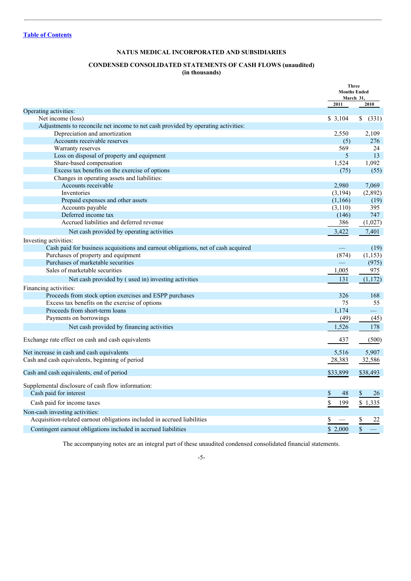# **NATUS MEDICAL INCORPORATED AND SUBSIDIARIES**

# **CONDENSED CONSOLIDATED STATEMENTS OF CASH FLOWS (unaudited) (in thousands)**

|                                                                                   | <b>Three</b><br><b>Months Ended</b><br>March 31. |                |
|-----------------------------------------------------------------------------------|--------------------------------------------------|----------------|
|                                                                                   | 2011                                             | 2010           |
| Operating activities:                                                             |                                                  |                |
| Net income (loss)                                                                 | \$3,104                                          | \$<br>(331)    |
| Adjustments to reconcile net income to net cash provided by operating activities: |                                                  |                |
| Depreciation and amortization                                                     | 2,550                                            | 2,109          |
| Accounts receivable reserves                                                      | (5)                                              | 276            |
| Warranty reserves                                                                 | 569                                              | 24             |
| Loss on disposal of property and equipment                                        | 5                                                | 13             |
| Share-based compensation                                                          | 1,524                                            | 1,092          |
| Excess tax benefits on the exercise of options                                    | (75)                                             | (55)           |
| Changes in operating assets and liabilities:                                      |                                                  |                |
| Accounts receivable                                                               | 2,980                                            | 7,069          |
| Inventories                                                                       | (3, 194)                                         | (2,892)        |
| Prepaid expenses and other assets                                                 | (1,166)                                          | (19)           |
| Accounts payable<br>Deferred income tax                                           | (3,110)                                          | 395            |
| Accrued liabilities and deferred revenue                                          | (146)                                            | 747<br>(1,027) |
|                                                                                   | 386                                              |                |
| Net cash provided by operating activities                                         | 3,422                                            | 7,401          |
| Investing activities:                                                             |                                                  |                |
| Cash paid for business acquisitions and earnout obligations, net of cash acquired |                                                  | (19)           |
| Purchases of property and equipment                                               | (874)                                            | (1, 153)       |
| Purchases of marketable securities                                                |                                                  | (975)          |
| Sales of marketable securities                                                    | 1,005                                            | 975            |
| Net cash provided by (used in) investing activities                               | 131                                              | (1,172)        |
| Financing activities:                                                             |                                                  |                |
| Proceeds from stock option exercises and ESPP purchases                           | 326                                              | 168            |
| Excess tax benefits on the exercise of options                                    | 75                                               | 55             |
| Proceeds from short-term loans                                                    | 1,174                                            | $\equiv$       |
| Payments on borrowings                                                            | (49)                                             | (45)           |
| Net cash provided by financing activities                                         | 1,526                                            | 178            |
| Exchange rate effect on cash and cash equivalents                                 | 437                                              | (500)          |
| Net increase in cash and cash equivalents                                         | 5,516                                            | 5,907          |
| Cash and cash equivalents, beginning of period                                    | 28,383                                           | 32,586         |
| Cash and cash equivalents, end of period                                          | \$33,899                                         | \$38,493       |
| Supplemental disclosure of cash flow information:                                 |                                                  |                |
| Cash paid for interest                                                            | \$<br>48                                         | \$<br>26       |
| Cash paid for income taxes                                                        | 199<br>\$                                        | \$1,335        |
| Non-cash investing activities:                                                    |                                                  |                |
| Acquisition-related earnout obligations included in accrued liabilities           |                                                  | \$<br>22       |
| Contingent earnout obligations included in accrued liabilities                    | \$2,000                                          | \$             |
|                                                                                   |                                                  |                |

The accompanying notes are an integral part of these unaudited condensed consolidated financial statements.

-5-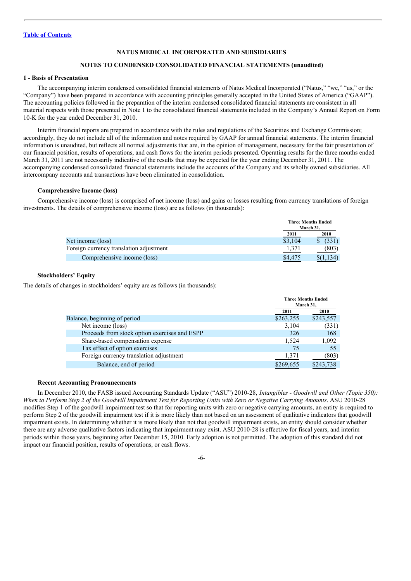## **NATUS MEDICAL INCORPORATED AND SUBSIDIARIES**

## **NOTES TO CONDENSED CONSOLIDATED FINANCIAL STATEMENTS (unaudited)**

#### **1 - Basis of Presentation**

The accompanying interim condensed consolidated financial statements of Natus Medical Incorporated ("Natus," "we," "us," or the "Company") have been prepared in accordance with accounting principles generally accepted in the United States of America ("GAAP"). The accounting policies followed in the preparation of the interim condensed consolidated financial statements are consistent in all material respects with those presented in Note 1 to the consolidated financial statements included in the Company's Annual Report on Form 10-K for the year ended December 31, 2010.

Interim financial reports are prepared in accordance with the rules and regulations of the Securities and Exchange Commission; accordingly, they do not include all of the information and notes required by GAAP for annual financial statements. The interim financial information is unaudited, but reflects all normal adjustments that are, in the opinion of management, necessary for the fair presentation of our financial position, results of operations, and cash flows for the interim periods presented. Operating results for the three months ended March 31, 2011 are not necessarily indicative of the results that may be expected for the year ending December 31, 2011. The accompanying condensed consolidated financial statements include the accounts of the Company and its wholly owned subsidiaries. All intercompany accounts and transactions have been eliminated in consolidation.

#### **Comprehensive Income (loss)**

Comprehensive income (loss) is comprised of net income (loss) and gains or losses resulting from currency translations of foreign investments. The details of comprehensive income (loss) are as follows (in thousands):

|                                         |              | <b>Three Months Ended</b><br>March 31. |  |
|-----------------------------------------|--------------|----------------------------------------|--|
|                                         | 2011         | 2010                                   |  |
| Net income (loss)                       | \$3,104      | (331)                                  |  |
| Foreign currency translation adjustment | <u>1,371</u> | (803)                                  |  |
| Comprehensive income (loss)             | \$4,475      |                                        |  |

## **Stockholders' Equity**

The details of changes in stockholders' equity are as follows (in thousands):

|                                               |           | <b>Three Months Ended</b><br>March 31, |  |  |
|-----------------------------------------------|-----------|----------------------------------------|--|--|
|                                               | 2011      | 2010                                   |  |  |
| Balance, beginning of period                  | \$263,255 | \$243,557                              |  |  |
| Net income (loss)                             | 3,104     | (331)                                  |  |  |
| Proceeds from stock option exercises and ESPP | 326       | 168                                    |  |  |
| Share-based compensation expense              | 1.524     | 1,092                                  |  |  |
| Tax effect of option exercises                | 75        | 55                                     |  |  |
| Foreign currency translation adjustment       | 1,371     | (803)                                  |  |  |
| Balance, end of period                        | \$269,655 | \$243,738                              |  |  |

#### **Recent Accounting Pronouncements**

In December 2010, the FASB issued Accounting Standards Update ("ASU") 2010-28, *Intangibles - Goodwill and Other (Topic 350):* When to Perform Step 2 of the Goodwill Impairment Test for Reporting Units with Zero or Negative Carrying Amounts. ASU 2010-28 modifies Step 1 of the goodwill impairment test so that for reporting units with zero or negative carrying amounts, an entity is required to perform Step 2 of the goodwill impairment test if it is more likely than not based on an assessment of qualitative indicators that goodwill impairment exists. In determining whether it is more likely than not that goodwill impairment exists, an entity should consider whether there are any adverse qualitative factors indicating that impairment may exist. ASU 2010-28 is effective for fiscal years, and interim periods within those years, beginning after December 15, 2010. Early adoption is not permitted. The adoption of this standard did not impact our financial position, results of operations, or cash flows.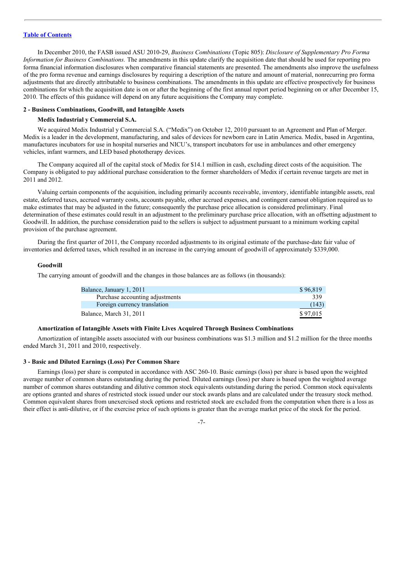In December 2010, the FASB issued ASU 2010-29, *Business Combinations* (Topic 805): *Disclosure of Supplementary Pro Forma Information for Business Combinations.* The amendments in this update clarify the acquisition date that should be used for reporting pro forma financial information disclosures when comparative financial statements are presented. The amendments also improve the usefulness of the pro forma revenue and earnings disclosures by requiring a description of the nature and amount of material, nonrecurring pro forma adjustments that are directly attributable to business combinations. The amendments in this update are effective prospectively for business combinations for which the acquisition date is on or after the beginning of the first annual report period beginning on or after December 15, 2010. The effects of this guidance will depend on any future acquisitions the Company may complete.

#### **2 - Business Combinations, Goodwill, and Intangible Assets**

#### **Medix Industrial y Commercial S.A.**

We acquired Medix Industrial y Commercial S.A. ("Medix") on October 12, 2010 pursuant to an Agreement and Plan of Merger. Medix is a leader in the development, manufacturing, and sales of devices for newborn care in Latin America. Medix, based in Argentina, manufactures incubators for use in hospital nurseries and NICU's, transport incubators for use in ambulances and other emergency vehicles, infant warmers, and LED based phototherapy devices.

The Company acquired all of the capital stock of Medix for \$14.1 million in cash, excluding direct costs of the acquisition. The Company is obligated to pay additional purchase consideration to the former shareholders of Medix if certain revenue targets are met in 2011 and 2012.

Valuing certain components of the acquisition, including primarily accounts receivable, inventory, identifiable intangible assets, real estate, deferred taxes, accrued warranty costs, accounts payable, other accrued expenses, and contingent earnout obligation required us to make estimates that may be adjusted in the future; consequently the purchase price allocation is considered preliminary. Final determination of these estimates could result in an adjustment to the preliminary purchase price allocation, with an offsetting adjustment to Goodwill. In addition, the purchase consideration paid to the sellers is subject to adjustment pursuant to a minimum working capital provision of the purchase agreement.

During the first quarter of 2011, the Company recorded adjustments to its original estimate of the purchase-date fair value of inventories and deferred taxes, which resulted in an increase in the carrying amount of goodwill of approximately \$339,000.

#### **Goodwill**

The carrying amount of goodwill and the changes in those balances are as follows (in thousands):

| Balance, January 1, 2011        | \$96.819 |
|---------------------------------|----------|
| Purchase accounting adjustments | 339      |
| Foreign currency translation    | (143)    |
| Balance, March 31, 2011         | \$97,015 |

#### **Amortization of Intangible Assets with Finite Lives Acquired Through Business Combinations**

Amortization of intangible assets associated with our business combinations was \$1.3 million and \$1.2 million for the three months ended March 31, 2011 and 2010, respectively.

## **3 - Basic and Diluted Earnings (Loss) Per Common Share**

Earnings (loss) per share is computed in accordance with ASC 260-10. Basic earnings (loss) per share is based upon the weighted average number of common shares outstanding during the period. Diluted earnings (loss) per share is based upon the weighted average number of common shares outstanding and dilutive common stock equivalents outstanding during the period. Common stock equivalents are options granted and shares of restricted stock issued under our stock awards plans and are calculated under the treasury stock method. Common equivalent shares from unexercised stock options and restricted stock are excluded from the computation when there is a loss as their effect is anti-dilutive, or if the exercise price of such options is greater than the average market price of the stock for the period.

#### -7-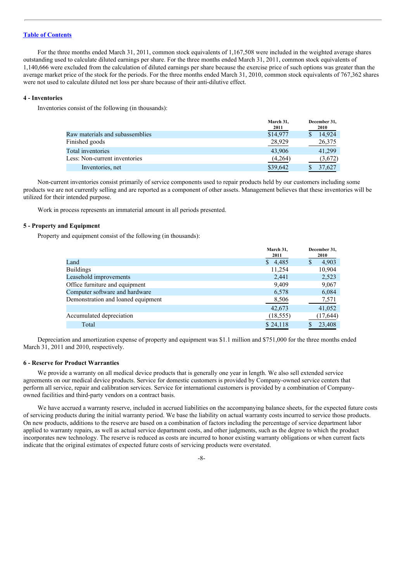For the three months ended March 31, 2011, common stock equivalents of 1,167,508 were included in the weighted average shares outstanding used to calculate diluted earnings per share. For the three months ended March 31, 2011, common stock equivalents of 1,140,666 were excluded from the calculation of diluted earnings per share because the exercise price of such options was greater than the average market price of the stock for the periods. For the three months ended March 31, 2010, common stock equivalents of 767,362 shares were not used to calculate diluted net loss per share because of their anti-dilutive effect.

#### **4 - Inventories**

Inventories consist of the following (in thousands):

|                                 | March 31, | December 31, |
|---------------------------------|-----------|--------------|
|                                 | 2011      | <b>2010</b>  |
| Raw materials and subassemblies | \$14,977  | 14.924       |
| Finished goods                  | 28,929    | 26,375       |
| Total inventories               | 43,906    | 41,299       |
| Less: Non-current inventories   | (4,264)   | (3,672)      |
| Inventories, net                | \$39,642  | 37.627       |

Non-current inventories consist primarily of service components used to repair products held by our customers including some products we are not currently selling and are reported as a component of other assets. Management believes that these inventories will be utilized for their intended purpose.

Work in process represents an immaterial amount in all periods presented.

## **5 - Property and Equipment**

Property and equipment consist of the following (in thousands):

|                                    | March 31,<br>2011 | December 31.<br>2010 |  |
|------------------------------------|-------------------|----------------------|--|
| Land                               | \$4,485           | 4,903                |  |
| <b>Buildings</b>                   | 11,254            | 10,904               |  |
| Leasehold improvements             | 2,441             | 2,523                |  |
| Office furniture and equipment     | 9,409             | 9,067                |  |
| Computer software and hardware     | 6,578             | 6,084                |  |
| Demonstration and loaned equipment | 8,506             | 7,571                |  |
|                                    | 42,673            | 41,052               |  |
| Accumulated depreciation           | (18, 555)         | (17, 644)            |  |
| Total                              | \$24,118          | 23,408               |  |

Depreciation and amortization expense of property and equipment was \$1.1 million and \$751,000 for the three months ended March 31, 2011 and 2010, respectively.

#### **6 - Reserve for Product Warranties**

We provide a warranty on all medical device products that is generally one year in length. We also sell extended service agreements on our medical device products. Service for domestic customers is provided by Company-owned service centers that perform all service, repair and calibration services. Service for international customers is provided by a combination of Companyowned facilities and third-party vendors on a contract basis.

We have accrued a warranty reserve, included in accrued liabilities on the accompanying balance sheets, for the expected future costs of servicing products during the initial warranty period. We base the liability on actual warranty costs incurred to service those products. On new products, additions to the reserve are based on a combination of factors including the percentage of service department labor applied to warranty repairs, as well as actual service department costs, and other judgments, such as the degree to which the product incorporates new technology. The reserve is reduced as costs are incurred to honor existing warranty obligations or when current facts indicate that the original estimates of expected future costs of servicing products were overstated.

 $-8$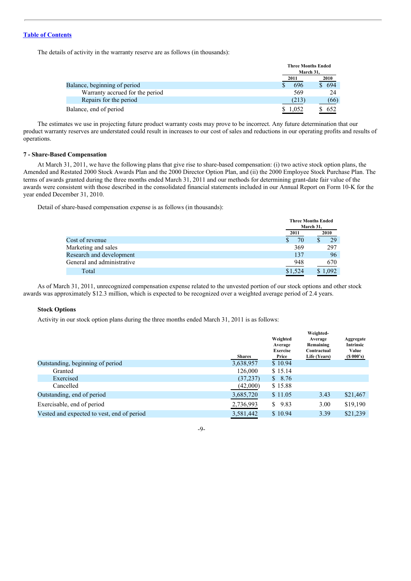The details of activity in the warranty reserve are as follows (in thousands):

|                                 |         | <b>Three Months Ended</b><br>March 31, |  |
|---------------------------------|---------|----------------------------------------|--|
|                                 | 2011    | 2010                                   |  |
| Balance, beginning of period    | 696     | \$694                                  |  |
| Warranty accrued for the period | 569     | 24                                     |  |
| Repairs for the period          | (213)   | (66)                                   |  |
| Balance, end of period          | \$1,052 | 652                                    |  |

The estimates we use in projecting future product warranty costs may prove to be incorrect. Any future determination that our product warranty reserves are understated could result in increases to our cost of sales and reductions in our operating profits and results of operations.

## **7 - Share-Based Compensation**

At March 31, 2011, we have the following plans that give rise to share-based compensation: (i) two active stock option plans, the Amended and Restated 2000 Stock Awards Plan and the 2000 Director Option Plan, and (ii) the 2000 Employee Stock Purchase Plan. The terms of awards granted during the three months ended March 31, 2011 and our methods for determining grant-date fair value of the awards were consistent with those described in the consolidated financial statements included in our Annual Report on Form 10-K for the year ended December 31, 2010.

Detail of share-based compensation expense is as follows (in thousands):

|                            |         | <b>Three Months Ended</b><br>March 31, |         |
|----------------------------|---------|----------------------------------------|---------|
|                            | 2011    |                                        | 2010    |
| Cost of revenue            | 70      |                                        | 29      |
| Marketing and sales        | 369     |                                        | 297     |
| Research and development   | 137     |                                        | 96      |
| General and administrative | 948     |                                        | 670     |
| Total                      | \$1,524 |                                        | \$1,092 |

As of March 31, 2011, unrecognized compensation expense related to the unvested portion of our stock options and other stock awards was approximately \$12.3 million, which is expected to be recognized over a weighted average period of 2.4 years.

#### **Stock Options**

Activity in our stock option plans during the three months ended March 31, 2011 is as follows:

| <b>Shares</b> | Weighted<br>Average<br><b>Exercise</b><br>Price | Average<br>Remaining<br>Contractual<br>Life (Years) | Aggregate<br><b>Intrinsic</b><br>Value<br>$($ \$ 000's) |
|---------------|-------------------------------------------------|-----------------------------------------------------|---------------------------------------------------------|
| 3,638,957     | \$10.94                                         |                                                     |                                                         |
| 126,000       | \$15.14                                         |                                                     |                                                         |
| (37,237)      | \$8.76                                          |                                                     |                                                         |
| (42,000)      | \$15.88                                         |                                                     |                                                         |
| 3,685,720     | \$11.05                                         | 3.43                                                | \$21,467                                                |
| 2,736,993     | 9.83<br>S.                                      | 3.00                                                | \$19,190                                                |
| 3,581,442     | \$10.94                                         | 3.39                                                | \$21,239                                                |
|               |                                                 |                                                     | Weighted-                                               |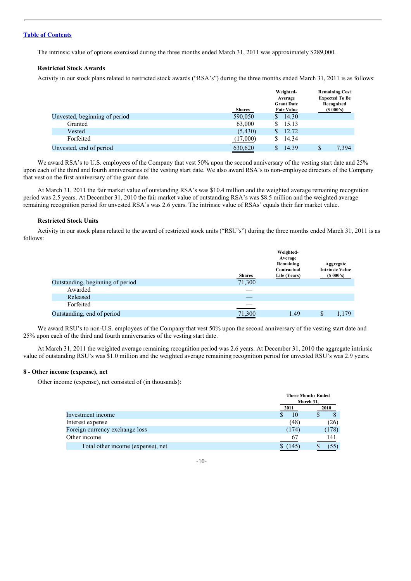The intrinsic value of options exercised during the three months ended March 31, 2011 was approximately \$289,000.

## **Restricted Stock Awards**

Activity in our stock plans related to restricted stock awards ("RSA's") during the three months ended March 31, 2011 is as follows:

|                               | <b>Shares</b> | Weighted-<br>Average<br><b>Grant Date</b><br><b>Fair Value</b> | <b>Remaining Cost</b><br><b>Expected To Be</b><br>Recognized<br>$(S\ 000's)$ |  |
|-------------------------------|---------------|----------------------------------------------------------------|------------------------------------------------------------------------------|--|
| Unvested, beginning of period | 590,050       | 14.30<br>S.                                                    |                                                                              |  |
| Granted                       | 63,000        | 15.13<br>S.                                                    |                                                                              |  |
| Vested                        | (5, 430)      | 12.72<br>S.                                                    |                                                                              |  |
| Forfeited                     | (17,000)      | 14.34<br>S.                                                    |                                                                              |  |
| Unvested, end of period       | 630,620       | 14.39                                                          | 7,394<br>\$                                                                  |  |

We award RSA's to U.S. employees of the Company that vest 50% upon the second anniversary of the vesting start date and 25% upon each of the third and fourth anniversaries of the vesting start date. We also award RSA's to non-employee directors of the Company that vest on the first anniversary of the grant date.

At March 31, 2011 the fair market value of outstanding RSA's was \$10.4 million and the weighted average remaining recognition period was 2.5 years. At December 31, 2010 the fair market value of outstanding RSA's was \$8.5 million and the weighted average remaining recognition period for unvested RSA's was 2.6 years. The intrinsic value of RSAs' equals their fair market value.

## **Restricted Stock Units**

Activity in our stock plans related to the award of restricted stock units ("RSU's") during the three months ended March 31, 2011 is as follows:

|                                  | <b>Shares</b> | Weighted-<br>Average<br>Remaining<br>Contractual<br>Life (Years) | Aggregate<br><b>Intrinsic Value</b><br>$(S\ 000's)$ |       |
|----------------------------------|---------------|------------------------------------------------------------------|-----------------------------------------------------|-------|
| Outstanding, beginning of period | 71,300        |                                                                  |                                                     |       |
| Awarded                          |               |                                                                  |                                                     |       |
| Released                         |               |                                                                  |                                                     |       |
| Forfeited                        |               |                                                                  |                                                     |       |
| Outstanding, end of period       | 71,300        | 1.49                                                             |                                                     | 1.179 |

We award RSU's to non-U.S. employees of the Company that vest 50% upon the second anniversary of the vesting start date and 25% upon each of the third and fourth anniversaries of the vesting start date.

At March 31, 2011 the weighted average remaining recognition period was 2.6 years. At December 31, 2010 the aggregate intrinsic value of outstanding RSU's was \$1.0 million and the weighted average remaining recognition period for unvested RSU's was 2.9 years.

#### **8 - Other income (expense), net**

Other income (expense), net consisted of (in thousands):

|                                   |       | <b>Three Months Ended</b><br>March 31, |  |  |
|-----------------------------------|-------|----------------------------------------|--|--|
|                                   | 2011  | 2010                                   |  |  |
| Investment income                 | 10    | 8                                      |  |  |
| Interest expense                  | (48)  | (26)                                   |  |  |
| Foreign currency exchange loss    | (174) | (178)                                  |  |  |
| Other income                      | 67    | 141                                    |  |  |
| Total other income (expense), net | (145  |                                        |  |  |

-10-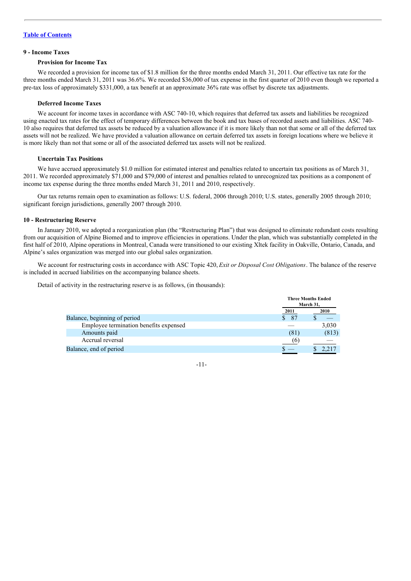#### **9 - Income Taxes**

## **Provision for Income Tax**

We recorded a provision for income tax of \$1.8 million for the three months ended March 31, 2011. Our effective tax rate for the three months ended March 31, 2011 was 36.6%. We recorded \$36,000 of tax expense in the first quarter of 2010 even though we reported a pre-tax loss of approximately \$331,000, a tax benefit at an approximate 36% rate was offset by discrete tax adjustments.

## **Deferred Income Taxes**

We account for income taxes in accordance with ASC 740-10, which requires that deferred tax assets and liabilities be recognized using enacted tax rates for the effect of temporary differences between the book and tax bases of recorded assets and liabilities. ASC 740- 10 also requires that deferred tax assets be reduced by a valuation allowance if it is more likely than not that some or all of the deferred tax assets will not be realized. We have provided a valuation allowance on certain deferred tax assets in foreign locations where we believe it is more likely than not that some or all of the associated deferred tax assets will not be realized.

## **Uncertain Tax Positions**

We have accrued approximately \$1.0 million for estimated interest and penalties related to uncertain tax positions as of March 31, 2011. We recorded approximately \$71,000 and \$79,000 of interest and penalties related to unrecognized tax positions as a component of income tax expense during the three months ended March 31, 2011 and 2010, respectively.

Our tax returns remain open to examination as follows: U.S. federal, 2006 through 2010; U.S. states, generally 2005 through 2010; significant foreign jurisdictions, generally 2007 through 2010.

## **10 - Restructuring Reserve**

In January 2010, we adopted a reorganization plan (the "Restructuring Plan") that was designed to eliminate redundant costs resulting from our acquisition of Alpine Biomed and to improve efficiencies in operations. Under the plan, which was substantially completed in the first half of 2010, Alpine operations in Montreal, Canada were transitioned to our existing Xltek facility in Oakville, Ontario, Canada, and Alpine's sales organization was merged into our global sales organization.

We account for restructuring costs in accordance with ASC Topic 420, *Exit or Disposal Cost Obligations*. The balance of the reserve is included in accrued liabilities on the accompanying balance sheets.

Detail of activity in the restructuring reserve is as follows, (in thousands):

|                                        |           | <b>Three Months Ended</b> |  |  |
|----------------------------------------|-----------|---------------------------|--|--|
|                                        | March 31, |                           |  |  |
|                                        | 2011      | 2010                      |  |  |
| Balance, beginning of period           | 87        |                           |  |  |
| Employee termination benefits expensed |           | 3,030                     |  |  |
| Amounts paid                           | (81)      | (813)                     |  |  |
| Accrual reversal                       | (6)       |                           |  |  |
| Balance, end of period                 |           |                           |  |  |

-11-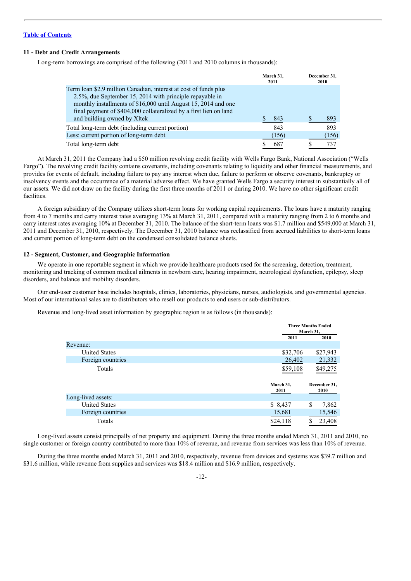## **11 - Debt and Credit Arrangements**

Long-term borrowings are comprised of the following (2011 and 2010 columns in thousands):

|                                                                                                                                                                                                                                                                                                    | March 31,<br>2011 | December 31,<br>2010 |
|----------------------------------------------------------------------------------------------------------------------------------------------------------------------------------------------------------------------------------------------------------------------------------------------------|-------------------|----------------------|
| Term loan \$2.9 million Canadian, interest at cost of funds plus<br>2.5%, due September 15, 2014 with principle repayable in<br>monthly installments of \$16,000 until August 15, 2014 and one<br>final payment of \$404,000 collateralized by a first lien on land<br>and building owned by XItek | 843               | 893                  |
| Total long-term debt (including current portion)<br>Less: current portion of long-term debt                                                                                                                                                                                                        | 843<br>(156)      | 893<br>(156)         |
| Total long-term debt                                                                                                                                                                                                                                                                               | 687               | 737                  |

At March 31, 2011 the Company had a \$50 million revolving credit facility with Wells Fargo Bank, National Association ("Wells Fargo"). The revolving credit facility contains covenants, including covenants relating to liquidity and other financial measurements, and provides for events of default, including failure to pay any interest when due, failure to perform or observe covenants, bankruptcy or insolvency events and the occurrence of a material adverse effect. We have granted Wells Fargo a security interest in substantially all of our assets. We did not draw on the facility during the first three months of 2011 or during 2010. We have no other significant credit facilities.

A foreign subsidiary of the Company utilizes short-term loans for working capital requirements. The loans have a maturity ranging from 4 to 7 months and carry interest rates averaging 13% at March 31, 2011, compared with a maturity ranging from 2 to 6 months and carry interest rates averaging 10% at December 31, 2010. The balance of the short-term loans was \$1.7 million and \$549,000 at March 31, 2011 and December 31, 2010, respectively. The December 31, 2010 balance was reclassified from accrued liabilities to short-term loans and current portion of long-term debt on the condensed consolidated balance sheets.

## **12 - Segment, Customer, and Geographic Information**

We operate in one reportable segment in which we provide healthcare products used for the screening, detection, treatment, monitoring and tracking of common medical ailments in newborn care, hearing impairment, neurological dysfunction, epilepsy, sleep disorders, and balance and mobility disorders.

Our end-user customer base includes hospitals, clinics, laboratories, physicians, nurses, audiologists, and governmental agencies. Most of our international sales are to distributors who resell our products to end users or sub-distributors.

Revenue and long-lived asset information by geographic region is as follows (in thousands):

|                      |                   | <b>Three Months Ended</b><br>March 31, |  |  |
|----------------------|-------------------|----------------------------------------|--|--|
|                      | 2011              | 2010                                   |  |  |
| Revenue:             |                   |                                        |  |  |
| <b>United States</b> | \$32,706          | \$27,943                               |  |  |
| Foreign countries    | 26,402            | 21,332                                 |  |  |
| Totals               | \$59,108          | \$49,275                               |  |  |
|                      | March 31,<br>2011 | December 31,<br>2010                   |  |  |
| Long-lived assets:   |                   |                                        |  |  |
| <b>United States</b> | \$ 8,437          | \$<br>7,862                            |  |  |
| Foreign countries    | 15,681            | 15,546                                 |  |  |
| Totals               | \$24,118          | 23,408<br>\$                           |  |  |

Long-lived assets consist principally of net property and equipment. During the three months ended March 31, 2011 and 2010, no single customer or foreign country contributed to more than 10% of revenue, and revenue from services was less than 10% of revenue.

During the three months ended March 31, 2011 and 2010, respectively, revenue from devices and systems was \$39.7 million and \$31.6 million, while revenue from supplies and services was \$18.4 million and \$16.9 million, respectively.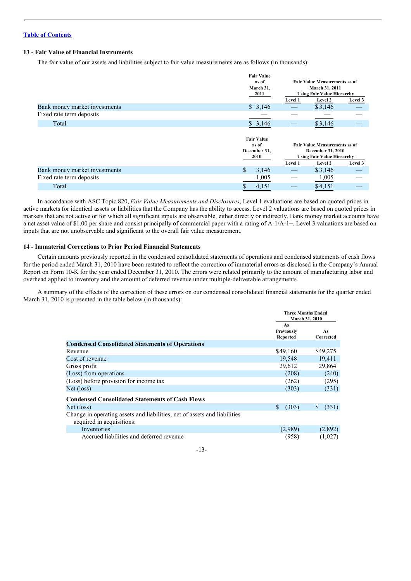## **13 - Fair Value of Financial Instruments**

The fair value of our assets and liabilities subject to fair value measurements are as follows (in thousands):

|                               | <b>Fair Value</b><br>as of<br>March 31,<br>2011    | <b>Fair Value Measurements as of</b><br>March 31, 2011<br><b>Using Fair Value Hierarchy</b>    |         |         |  |
|-------------------------------|----------------------------------------------------|------------------------------------------------------------------------------------------------|---------|---------|--|
|                               |                                                    | Level 1                                                                                        | Level 2 | Level 3 |  |
| Bank money market investments | \$3,146                                            |                                                                                                | \$3,146 |         |  |
| Fixed rate term deposits      |                                                    |                                                                                                |         |         |  |
| Total                         | \$3,146                                            |                                                                                                | \$3,146 |         |  |
|                               | <b>Fair Value</b><br>as of<br>December 31,<br>2010 | <b>Fair Value Measurements as of</b><br>December 31, 2010<br><b>Using Fair Value Hierarchy</b> |         |         |  |
|                               |                                                    | Level 1                                                                                        | Level 2 | Level 3 |  |
| Bank money market investments | $\mathbb{S}$<br>3,146                              |                                                                                                | \$3,146 |         |  |
| Fixed rate term deposits      | 1,005                                              |                                                                                                | 1,005   |         |  |
| Total                         | 4,151<br>S                                         |                                                                                                | \$4,151 |         |  |

In accordance with ASC Topic 820, *Fair Value Measurements and Disclosures*, Level 1 evaluations are based on quoted prices in active markets for identical assets or liabilities that the Company has the ability to access. Level 2 valuations are based on quoted prices in markets that are not active or for which all significant inputs are observable, either directly or indirectly. Bank money market accounts have a net asset value of \$1.00 per share and consist principally of commercial paper with a rating of A-1/A-1+. Level 3 valuations are based on inputs that are not unobservable and significant to the overall fair value measurement.

## **14 - Immaterial Corrections to Prior Period Financial Statements**

Certain amounts previously reported in the condensed consolidated statements of operations and condensed statements of cash flows for the period ended March 31, 2010 have been restated to reflect the correction of immaterial errors as disclosed in the Company's Annual Report on Form 10-K for the year ended December 31, 2010. The errors were related primarily to the amount of manufacturing labor and overhead applied to inventory and the amount of deferred revenue under multiple-deliverable arrangements.

A summary of the effects of the correction of these errors on our condensed consolidated financial statements for the quarter ended March 31, 2010 is presented in the table below (in thousands):

|                                                                           | <b>Three Months Ended</b><br>March 31, 2010 |                 |
|---------------------------------------------------------------------------|---------------------------------------------|-----------------|
|                                                                           | As<br><b>Previously</b><br>Reported         | As<br>Corrected |
| <b>Condensed Consolidated Statements of Operations</b>                    |                                             |                 |
| Revenue                                                                   | \$49,160                                    | \$49,275        |
| Cost of revenue                                                           | 19,548                                      | 19,411          |
| Gross profit                                                              | 29,612                                      | 29,864          |
| (Loss) from operations                                                    | (208)                                       | (240)           |
| (Loss) before provision for income tax                                    | (262)                                       | (295)           |
| Net (loss)                                                                | (303)                                       | (331)           |
| <b>Condensed Consolidated Statements of Cash Flows</b>                    |                                             |                 |
| Net (loss)                                                                | \$<br>(303)                                 | S<br>(331)      |
| Change in operating assets and liabilities, net of assets and liabilities |                                             |                 |
| acquired in acquisitions:                                                 |                                             |                 |
| Inventories                                                               | (2,989)                                     | (2,892)         |
| Accrued liabilities and deferred revenue                                  | (958)                                       | (1,027)         |

-13-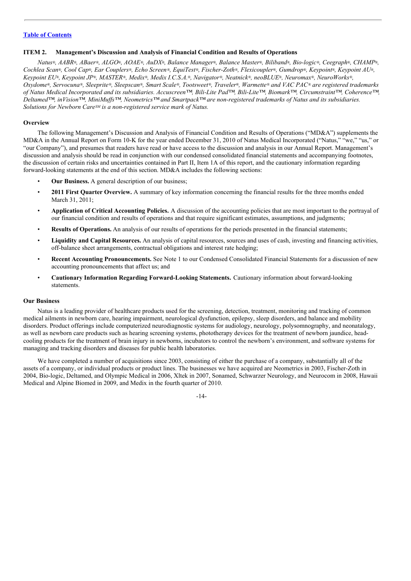## **ITEM 2. Management's Discussion and Analysis of Financial Condition and Results of Operations**

Natus®, AABR®, ABaer®, ALGO®, AOAE®, AuDX®, Balance Manager®, Balance Master®, Biliband®, Bio-logic®, Ceegraph®, CHAMP®, Cochlea Scan®, Cool Cap®, Ear Couplers®, Echo Screen®, EquiTest®, Fischer-Zoth®, Flexicoupler®, Gumdrop®, Keypoint®, Keypoint AU®, Keypoint EU®, Keypoint JP®, MASTER®, Medix®, Medix I.C.S.A.®, Navigator®, Neatnick®, neoBLUE®, Neuromax®, NeuroWorks®, Oxydome®, Servocuna®, Sleeprite®, Sleepscan®, Smart Scale®, Tootsweet®, Traveler®, Warmette® and VAC PAC® are registered trademarks of Natus Medical Incorporated and its subsidiaries. Accuscreen™, Bili-Lite Pad<sup>TM</sup>, Bili-Lite™, Biomark™, Circumstraint™, Coherence™, Deltamed™, inVision™, MiniMuffs™, Neometrics™ and Smartpack™ are non-registered trademarks of Natus and its subsidiaries. *Solutions for Newborn Care<sup>s a</sup> is a non-registered service mark of Natus.* 

## **Overview**

The following Management's Discussion and Analysis of Financial Condition and Results of Operations ("MD&A") supplements the MD&A in the Annual Report on Form 10-K for the year ended December 31, 2010 of Natus Medical Incorporated ("Natus," "we," "us," or "our Company"), and presumes that readers have read or have access to the discussion and analysis in our Annual Report. Management's discussion and analysis should be read in conjunction with our condensed consolidated financial statements and accompanying footnotes, the discussion of certain risks and uncertainties contained in Part II, Item 1A of this report, and the cautionary information regarding forward-looking statements at the end of this section. MD&A includes the following sections:

- **Our Business.** A general description of our business;
- **2011 First Quarter Overview.** A summary of key information concerning the financial results for the three months ended March 31, 2011;
- **Application of Critical Accounting Policies.** A discussion of the accounting policies that are most important to the portrayal of our financial condition and results of operations and that require significant estimates, assumptions, and judgments;
- **Results of Operations.** An analysis of our results of operations for the periods presented in the financial statements;
- **Liquidity and Capital Resources.** An analysis of capital resources, sources and uses of cash, investing and financing activities, off-balance sheet arrangements, contractual obligations and interest rate hedging;
- **Recent Accounting Pronouncements.** See Note 1 to our Condensed Consolidated Financial Statements for a discussion of new accounting pronouncements that affect us; and
- **Cautionary Information Regarding Forward-Looking Statements.** Cautionary information about forward-looking statements.

## **Our Business**

Natus is a leading provider of healthcare products used for the screening, detection, treatment, monitoring and tracking of common medical ailments in newborn care, hearing impairment, neurological dysfunction, epilepsy, sleep disorders, and balance and mobility disorders. Product offerings include computerized neurodiagnostic systems for audiology, neurology, polysomnography, and neonatalogy, as well as newborn care products such as hearing screening systems, phototherapy devices for the treatment of newborn jaundice, headcooling products for the treatment of brain injury in newborns, incubators to control the newborn's environment, and software systems for managing and tracking disorders and diseases for public health laboratories.

We have completed a number of acquisitions since 2003, consisting of either the purchase of a company, substantially all of the assets of a company, or individual products or product lines. The businesses we have acquired are Neometrics in 2003, Fischer-Zoth in 2004, Bio-logic, Deltamed, and Olympic Medical in 2006, Xltek in 2007, Sonamed, Schwarzer Neurology, and Neurocom in 2008, Hawaii Medical and Alpine Biomed in 2009, and Medix in the fourth quarter of 2010.

-14-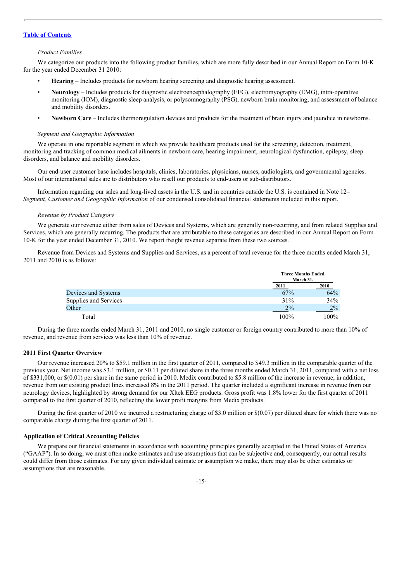#### *Product Families*

We categorize our products into the following product families, which are more fully described in our Annual Report on Form 10-K for the year ended December 31 2010:

- **Hearing** Includes products for newborn hearing screening and diagnostic hearing assessment.
- **Neurology** *–* Includes products for diagnostic electroencephalography (EEG), electromyography (EMG), intra-operative monitoring (IOM), diagnostic sleep analysis, or polysomnography (PSG), newborn brain monitoring, and assessment of balance and mobility disorders.
- **Newborn Care** Includes thermoregulation devices and products for the treatment of brain injury and jaundice in newborns.

#### *Segment and Geographic Information*

We operate in one reportable segment in which we provide healthcare products used for the screening, detection, treatment, monitoring and tracking of common medical ailments in newborn care, hearing impairment, neurological dysfunction, epilepsy, sleep disorders, and balance and mobility disorders.

Our end-user customer base includes hospitals, clinics, laboratories, physicians, nurses, audiologists, and governmental agencies. Most of our international sales are to distributors who resell our products to end-users or sub-distributors.

Information regarding our sales and long-lived assets in the U.S. and in countries outside the U.S. is contained in Note 12– *Segment, Customer and Geographic Information* of our condensed consolidated financial statements included in this report.

#### *Revenue by Product Category*

We generate our revenue either from sales of Devices and Systems, which are generally non-recurring, and from related Supplies and Services, which are generally recurring. The products that are attributable to these categories are described in our Annual Report on Form 10-K for the year ended December 31, 2010. We report freight revenue separate from these two sources.

Revenue from Devices and Systems and Supplies and Services, as a percent of total revenue for the three months ended March 31, 2011 and 2010 is as follows:

|                       |       | <b>Three Months Ended</b><br>March 31, |  |  |
|-----------------------|-------|----------------------------------------|--|--|
|                       | 2011  | 2010                                   |  |  |
| Devices and Systems   | 67%   | 64%                                    |  |  |
| Supplies and Services | 31%   | 34%                                    |  |  |
| Other                 | $2\%$ | $2\%$                                  |  |  |
| Total                 | 100%  | $100\%$                                |  |  |

During the three months ended March 31, 2011 and 2010, no single customer or foreign country contributed to more than 10% of revenue, and revenue from services was less than 10% of revenue.

## **2011 First Quarter Overview**

Our revenue increased 20% to \$59.1 million in the first quarter of 2011, compared to \$49.3 million in the comparable quarter of the previous year. Net income was \$3.1 million, or \$0.11 per diluted share in the three months ended March 31, 2011, compared with a net loss of \$331,000, or \$(0.01) per share in the same period in 2010. Medix contributed to \$5.8 million of the increase in revenue; in addition, revenue from our existing product lines increased 8% in the 2011 period. The quarter included a significant increase in revenue from our neurology devices, highlighted by strong demand for our Xltek EEG products. Gross profit was 1.8% lower for the first quarter of 2011 compared to the first quarter of 2010, reflecting the lower profit margins from Medix products.

During the first quarter of 2010 we incurred a restructuring charge of \$3.0 million or \$(0.07) per diluted share for which there was no comparable charge during the first quarter of 2011.

#### **Application of Critical Accounting Policies**

We prepare our financial statements in accordance with accounting principles generally accepted in the United States of America ("GAAP"). In so doing, we must often make estimates and use assumptions that can be subjective and, consequently, our actual results could differ from those estimates. For any given individual estimate or assumption we make, there may also be other estimates or assumptions that are reasonable.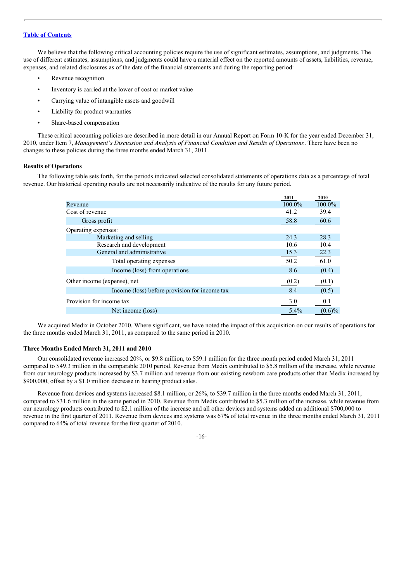We believe that the following critical accounting policies require the use of significant estimates, assumptions, and judgments. The use of different estimates, assumptions, and judgments could have a material effect on the reported amounts of assets, liabilities, revenue, expenses, and related disclosures as of the date of the financial statements and during the reporting period:

- Revenue recognition
- Inventory is carried at the lower of cost or market value
- Carrying value of intangible assets and goodwill
- Liability for product warranties
- Share-based compensation

These critical accounting policies are described in more detail in our Annual Report on Form 10-K for the year ended December 31, 2010, under Item 7, *Management's Discussion and Analysis of Financial Condition and Results of Operations*. There have been no changes to these policies during the three months ended March 31, 2011.

#### **Results of Operations**

The following table sets forth, for the periods indicated selected consolidated statements of operations data as a percentage of total revenue. Our historical operating results are not necessarily indicative of the results for any future period.

|                                               | 2011   | 2010      |
|-----------------------------------------------|--------|-----------|
| Revenue                                       | 100.0% | 100.0%    |
| Cost of revenue                               | 41.2   | 39.4      |
| Gross profit                                  | 58.8   | 60.6      |
| Operating expenses:                           |        |           |
| Marketing and selling                         | 24.3   | 28.3      |
| Research and development                      | 10.6   | 10.4      |
| General and administrative                    | 15.3   | 22.3      |
| Total operating expenses                      | 50.2   | 61.0      |
| Income (loss) from operations                 | 8.6    | (0.4)     |
| Other income (expense), net                   | (0.2)  | (0.1)     |
| Income (loss) before provision for income tax | 8.4    | (0.5)     |
| Provision for income tax                      | 3.0    | 0.1       |
| Net income (loss)                             | 5.4%   | $(0.6)\%$ |
|                                               |        |           |

We acquired Medix in October 2010. Where significant, we have noted the impact of this acquisition on our results of operations for the three months ended March 31, 2011, as compared to the same period in 2010.

## **Three Months Ended March 31, 2011 and 2010**

Our consolidated revenue increased 20%, or \$9.8 million, to \$59.1 million for the three month period ended March 31, 2011 compared to \$49.3 million in the comparable 2010 period. Revenue from Medix contributed to \$5.8 million of the increase, while revenue from our neurology products increased by \$3.7 million and revenue from our existing newborn care products other than Medix increased by \$900,000, offset by a \$1.0 million decrease in hearing product sales.

Revenue from devices and systems increased \$8.1 million, or 26%, to \$39.7 million in the three months ended March 31, 2011, compared to \$31.6 million in the same period in 2010. Revenue from Medix contributed to \$5.3 million of the increase, while revenue from our neurology products contributed to \$2.1 million of the increase and all other devices and systems added an additional \$700,000 to revenue in the first quarter of 2011. Revenue from devices and systems was 67% of total revenue in the three months ended March 31, 2011 compared to 64% of total revenue for the first quarter of 2010.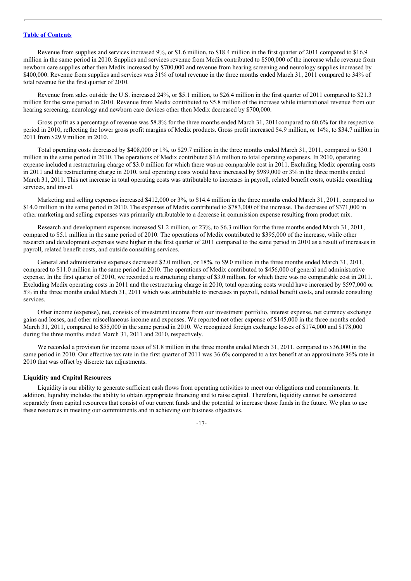Revenue from supplies and services increased 9%, or \$1.6 million, to \$18.4 million in the first quarter of 2011 compared to \$16.9 million in the same period in 2010. Supplies and services revenue from Medix contributed to \$500,000 of the increase while revenue from newborn care supplies other then Medix increased by \$700,000 and revenue from hearing screening and neurology supplies increased by \$400,000. Revenue from supplies and services was  $31\%$  of total revenue in the three months ended March 31, 2011 compared to 34% of total revenue for the first quarter of 2010.

Revenue from sales outside the U.S. increased 24%, or \$5.1 million, to \$26.4 million in the first quarter of 2011 compared to \$21.3 million for the same period in 2010. Revenue from Medix contributed to \$5.8 million of the increase while international revenue from our hearing screening, neurology and newborn care devices other then Medix decreased by \$700,000.

Gross profit as a percentage of revenue was 58.8% for the three months ended March 31, 2011compared to 60.6% for the respective period in 2010, reflecting the lower gross profit margins of Medix products. Gross profit increased \$4.9 million, or 14%, to \$34.7 million in 2011 from \$29.9 million in 2010.

Total operating costs decreased by \$408,000 or 1%, to \$29.7 million in the three months ended March 31, 2011, compared to \$30.1 million in the same period in 2010. The operations of Medix contributed \$1.6 million to total operating expenses. In 2010, operating expense included a restructuring charge of \$3.0 million for which there was no comparable cost in 2011. Excluding Medix operating costs in 2011 and the restructuring charge in 2010, total operating costs would have increased by \$989,000 or 3% in the three months ended March 31, 2011. This net increase in total operating costs was attributable to increases in payroll, related benefit costs, outside consulting services, and travel.

Marketing and selling expenses increased \$412,000 or 3%, to \$14.4 million in the three months ended March 31, 2011, compared to \$14.0 million in the same period in 2010. The expenses of Medix contributed to \$783,000 of the increase. The decrease of \$371,000 in other marketing and selling expenses was primarily attributable to a decrease in commission expense resulting from product mix.

Research and development expenses increased \$1.2 million, or 23%, to \$6.3 million for the three months ended March 31, 2011, compared to \$5.1 million in the same period of 2010. The operations of Medix contributed to \$395,000 of the increase, while other research and development expenses were higher in the first quarter of 2011 compared to the same period in 2010 as a result of increases in payroll, related benefit costs, and outside consulting services.

General and administrative expenses decreased \$2.0 million, or 18%, to \$9.0 million in the three months ended March 31, 2011, compared to \$11.0 million in the same period in 2010. The operations of Medix contributed to \$456,000 of general and administrative expense. In the first quarter of 2010, we recorded a restructuring charge of \$3.0 million, for which there was no comparable cost in 2011. Excluding Medix operating costs in 2011 and the restructuring charge in 2010, total operating costs would have increased by \$597,000 or 5% in the three months ended March 31, 2011 which was attributable to increases in payroll, related benefit costs, and outside consulting services.

Other income (expense), net, consists of investment income from our investment portfolio, interest expense, net currency exchange gains and losses, and other miscellaneous income and expenses. We reported net other expense of \$145,000 in the three months ended March 31, 2011, compared to \$55,000 in the same period in 2010. We recognized foreign exchange losses of \$174,000 and \$178,000 during the three months ended March 31, 2011 and 2010, respectively.

We recorded a provision for income taxes of \$1.8 million in the three months ended March 31, 2011, compared to \$36,000 in the same period in 2010. Our effective tax rate in the first quarter of 2011 was 36.6% compared to a tax benefit at an approximate 36% rate in 2010 that was offset by discrete tax adjustments.

## **Liquidity and Capital Resources**

Liquidity is our ability to generate sufficient cash flows from operating activities to meet our obligations and commitments. In addition, liquidity includes the ability to obtain appropriate financing and to raise capital. Therefore, liquidity cannot be considered separately from capital resources that consist of our current funds and the potential to increase those funds in the future. We plan to use these resources in meeting our commitments and in achieving our business objectives.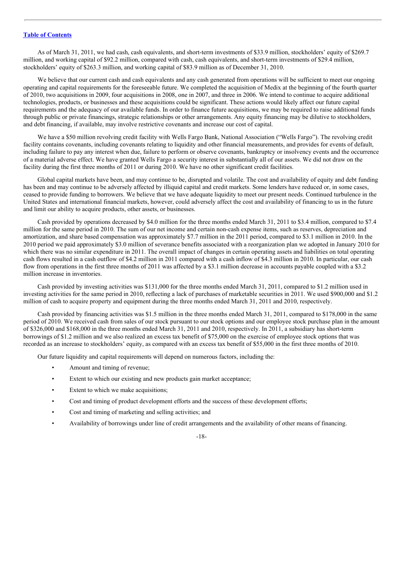As of March 31, 2011, we had cash, cash equivalents, and short-term investments of \$33.9 million, stockholders' equity of \$269.7 million, and working capital of \$92.2 million, compared with cash, cash equivalents, and short-term investments of \$29.4 million, stockholders' equity of \$263.3 million, and working capital of \$83.9 million as of December 31, 2010.

We believe that our current cash and cash equivalents and any cash generated from operations will be sufficient to meet our ongoing operating and capital requirements for the foreseeable future. We completed the acquisition of Medix at the beginning of the fourth quarter of 2010, two acquisitions in 2009, four acquisitions in 2008, one in 2007, and three in 2006. We intend to continue to acquire additional technologies, products, or businesses and these acquisitions could be significant. These actions would likely affect our future capital requirements and the adequacy of our available funds. In order to finance future acquisitions, we may be required to raise additional funds through public or private financings, strategic relationships or other arrangements. Any equity financing may be dilutive to stockholders, and debt financing, if available, may involve restrictive covenants and increase our cost of capital.

We have a \$50 million revolving credit facility with Wells Fargo Bank, National Association ("Wells Fargo"). The revolving credit facility contains covenants, including covenants relating to liquidity and other financial measurements, and provides for events of default, including failure to pay any interest when due, failure to perform or observe covenants, bankruptcy or insolvency events and the occurrence of a material adverse effect. We have granted Wells Fargo a security interest in substantially all of our assets. We did not draw on the facility during the first three months of 2011 or during 2010. We have no other significant credit facilities.

Global capital markets have been, and may continue to be, disrupted and volatile. The cost and availability of equity and debt funding has been and may continue to be adversely affected by illiquid capital and credit markets. Some lenders have reduced or, in some cases, ceased to provide funding to borrowers. We believe that we have adequate liquidity to meet our present needs. Continued turbulence in the United States and international financial markets, however, could adversely affect the cost and availability of financing to us in the future and limit our ability to acquire products, other assets, or businesses.

Cash provided by operations decreased by \$4.0 million for the three months ended March 31, 2011 to \$3.4 million, compared to \$7.4 million for the same period in 2010. The sum of our net income and certain non-cash expense items, such as reserves, depreciation and amortization, and share based compensation was approximately \$7.7 million in the 2011 period, compared to \$3.1 million in 2010. In the 2010 period we paid approximately \$3.0 million of severance benefits associated with a reorganization plan we adopted in January 2010 for which there was no similar expenditure in 2011. The overall impact of changes in certain operating assets and liabilities on total operating cash flows resulted in a cash outflow of \$4.2 million in 2011 compared with a cash inflow of \$4.3 million in 2010. In particular, our cash flow from operations in the first three months of 2011 was affected by a \$3.1 million decrease in accounts payable coupled with a \$3.2 million increase in inventories.

Cash provided by investing activities was \$131,000 for the three months ended March 31, 2011, compared to \$1.2 million used in investing activities for the same period in 2010, reflecting a lack of purchases of marketable securities in 2011. We used \$900,000 and \$1.2 million of cash to acquire property and equipment during the three months ended March 31, 2011 and 2010, respectively.

Cash provided by financing activities was \$1.5 million in the three months ended March 31, 2011, compared to \$178,000 in the same period of 2010. We received cash from sales of our stock pursuant to our stock options and our employee stock purchase plan in the amount of \$326,000 and \$168,000 in the three months ended March 31, 2011 and 2010, respectively. In 2011, a subsidiary has short-term borrowings of \$1.2 million and we also realized an excess tax benefit of \$75,000 on the exercise of employee stock options that was recorded as an increase to stockholders' equity, as compared with an excess tax benefit of \$55,000 in the first three months of 2010.

Our future liquidity and capital requirements will depend on numerous factors, including the:

- Amount and timing of revenue;
- Extent to which our existing and new products gain market acceptance;
- Extent to which we make acquisitions;
- Cost and timing of product development efforts and the success of these development efforts;
- Cost and timing of marketing and selling activities; and
- Availability of borrowings under line of credit arrangements and the availability of other means of financing.

## -18-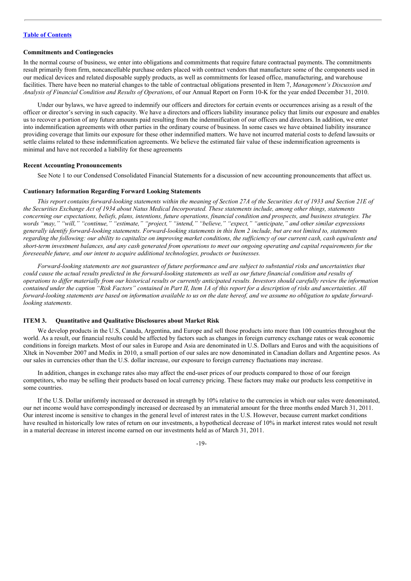## **Commitments and Contingencies**

In the normal course of business, we enter into obligations and commitments that require future contractual payments. The commitments result primarily from firm, noncancellable purchase orders placed with contract vendors that manufacture some of the components used in our medical devices and related disposable supply products, as well as commitments for leased office, manufacturing, and warehouse facilities. There have been no material changes to the table of contractual obligations presented in Item 7, *Management's Discussion and Analysis of Financial Condition and Results of Operations*, of our Annual Report on Form 10-K for the year ended December 31, 2010.

Under our bylaws, we have agreed to indemnify our officers and directors for certain events or occurrences arising as a result of the officer or director's serving in such capacity. We have a directors and officers liability insurance policy that limits our exposure and enables us to recover a portion of any future amounts paid resulting from the indemnification of our officers and directors. In addition, we enter into indemnification agreements with other parties in the ordinary course of business. In some cases we have obtained liability insurance providing coverage that limits our exposure for these other indemnified matters. We have not incurred material costs to defend lawsuits or settle claims related to these indemnification agreements. We believe the estimated fair value of these indemnification agreements is minimal and have not recorded a liability for these agreements

#### **Recent Accounting Pronouncements**

See Note 1 to our Condensed Consolidated Financial Statements for a discussion of new accounting pronouncements that affect us.

## **Cautionary Information Regarding Forward Looking Statements**

This report contains forward-looking statements within the meaning of Section 27A of the Securities Act of 1933 and Section 21E of the Securities Exchange Act of 1934 about Natus Medical Incorporated. These statements include, among other things, statements concerning our expectations, beliefs, plans, intentions, future operations, financial condition and prospects, and business strategies. The words "may," "will," "continue," "estimate," "project," "intend," "believe," "expect," "anticipate," and other similar expressions generally identify forward-looking statements. Forward-looking statements in this Item 2 include, but are not limited to, statements regarding the following: our ability to capitalize on improving market conditions, the sufficiency of our current cash, cash equivalents and short-term investment balances, and any cash generated from operations to meet our ongoing operating and capital requirements for the *foreseeable future, and our intent to acquire additional technologies, products or businesses.*

Forward-looking statements are not guarantees of future performance and are subject to substantial risks and uncertainties that could cause the actual results predicted in the forward-looking statements as well as our future financial condition and results of operations to differ materially from our historical results or currently anticipated results. Investors should carefully review the information contained under the caption "Risk Factors" contained in Part II, Item 1A of this report for a description of risks and uncertainties. All forward-looking statements are based on information available to us on the date hereof, and we assume no obligation to update forward*looking statements.*

#### **ITEM 3. Quantitative and Qualitative Disclosures about Market Risk**

We develop products in the U.S, Canada, Argentina, and Europe and sell those products into more than 100 countries throughout the world. As a result, our financial results could be affected by factors such as changes in foreign currency exchange rates or weak economic conditions in foreign markets. Most of our sales in Europe and Asia are denominated in U.S. Dollars and Euros and with the acquisitions of Xltek in November 2007 and Medix in 2010, a small portion of our sales are now denominated in Canadian dollars and Argentine pesos. As our sales in currencies other than the U.S. dollar increase, our exposure to foreign currency fluctuations may increase.

In addition, changes in exchange rates also may affect the end-user prices of our products compared to those of our foreign competitors, who may be selling their products based on local currency pricing. These factors may make our products less competitive in some countries.

If the U.S. Dollar uniformly increased or decreased in strength by 10% relative to the currencies in which our sales were denominated, our net income would have correspondingly increased or decreased by an immaterial amount for the three months ended March 31, 2011. Our interest income is sensitive to changes in the general level of interest rates in the U.S. However, because current market conditions have resulted in historically low rates of return on our investments, a hypothetical decrease of 10% in market interest rates would not result in a material decrease in interest income earned on our investments held as of March 31, 2011.

-19-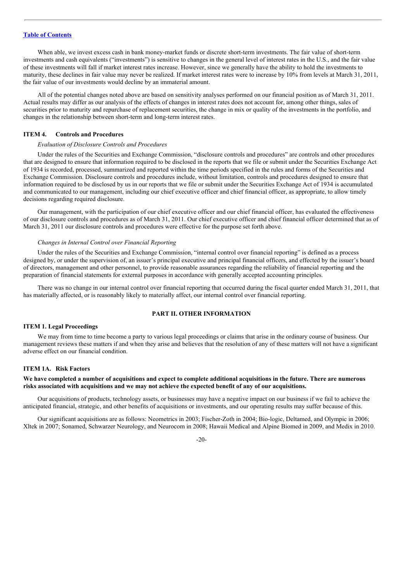When able, we invest excess cash in bank money-market funds or discrete short-term investments. The fair value of short-term investments and cash equivalents ("investments") is sensitive to changes in the general level of interest rates in the U.S., and the fair value of these investments will fall if market interest rates increase. However, since we generally have the ability to hold the investments to maturity, these declines in fair value may never be realized. If market interest rates were to increase by 10% from levels at March 31, 2011, the fair value of our investments would decline by an immaterial amount.

All of the potential changes noted above are based on sensitivity analyses performed on our financial position as of March 31, 2011. Actual results may differ as our analysis of the effects of changes in interest rates does not account for, among other things, sales of securities prior to maturity and repurchase of replacement securities, the change in mix or quality of the investments in the portfolio, and changes in the relationship between short-term and long-term interest rates.

## **ITEM 4. Controls and Procedures**

#### *Evaluation of Disclosure Controls and Procedures*

Under the rules of the Securities and Exchange Commission, "disclosure controls and procedures" are controls and other procedures that are designed to ensure that information required to be disclosed in the reports that we file or submit under the Securities Exchange Act of 1934 is recorded, processed, summarized and reported within the time periods specified in the rules and forms of the Securities and Exchange Commission. Disclosure controls and procedures include, without limitation, controls and procedures designed to ensure that information required to be disclosed by us in our reports that we file or submit under the Securities Exchange Act of 1934 is accumulated and communicated to our management, including our chief executive officer and chief financial officer, as appropriate, to allow timely decisions regarding required disclosure.

Our management, with the participation of our chief executive officer and our chief financial officer, has evaluated the effectiveness of our disclosure controls and procedures as of March 31, 2011. Our chief executive officer and chief financial officer determined that as of March 31, 2011 our disclosure controls and procedures were effective for the purpose set forth above.

#### *Changes in Internal Control over Financial Reporting*

Under the rules of the Securities and Exchange Commission, "internal control over financial reporting" is defined as a process designed by, or under the supervision of, an issuer's principal executive and principal financial officers, and effected by the issuer's board of directors, management and other personnel, to provide reasonable assurances regarding the reliability of financial reporting and the preparation of financial statements for external purposes in accordance with generally accepted accounting principles.

There was no change in our internal control over financial reporting that occurred during the fiscal quarter ended March 31, 2011, that has materially affected, or is reasonably likely to materially affect, our internal control over financial reporting.

## **PART II. OTHER INFORMATION**

#### **ITEM 1. Legal Proceedings**

We may from time to time become a party to various legal proceedings or claims that arise in the ordinary course of business. Our management reviews these matters if and when they arise and believes that the resolution of any of these matters will not have a significant adverse effect on our financial condition.

## **ITEM 1A. Risk Factors**

## We have completed a number of acquisitions and expect to complete additional acquisitions in the future. There are numerous risks associated with acquisitions and we may not achieve the expected benefit of any of our acquisitions.

Our acquisitions of products, technology assets, or businesses may have a negative impact on our business if we fail to achieve the anticipated financial, strategic, and other benefits of acquisitions or investments, and our operating results may suffer because of this.

Our significant acquisitions are as follows: Neometrics in 2003; Fischer-Zoth in 2004; Bio-logic, Deltamed, and Olympic in 2006; Xltek in 2007; Sonamed, Schwarzer Neurology, and Neurocom in 2008; Hawaii Medical and Alpine Biomed in 2009, and Medix in 2010.

 $-20-$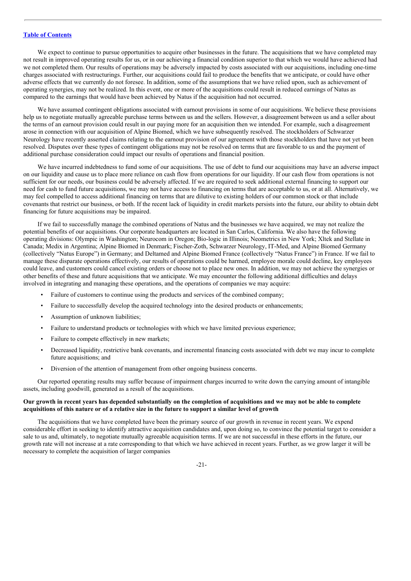We expect to continue to pursue opportunities to acquire other businesses in the future. The acquisitions that we have completed may not result in improved operating results for us, or in our achieving a financial condition superior to that which we would have achieved had we not completed them. Our results of operations may be adversely impacted by costs associated with our acquisitions, including one-time charges associated with restructurings. Further, our acquisitions could fail to produce the benefits that we anticipate, or could have other adverse effects that we currently do not foresee. In addition, some of the assumptions that we have relied upon, such as achievement of operating synergies, may not be realized. In this event, one or more of the acquisitions could result in reduced earnings of Natus as compared to the earnings that would have been achieved by Natus if the acquisition had not occurred.

We have assumed contingent obligations associated with earnout provisions in some of our acquisitions. We believe these provisions help us to negotiate mutually agreeable purchase terms between us and the sellers. However, a disagreement between us and a seller about the terms of an earnout provision could result in our paying more for an acquisition then we intended. For example, such a disagreement arose in connection with our acquisition of Alpine Biomed, which we have subsequently resolved. The stockholders of Schwarzer Neurology have recently asserted claims relating to the earnout provision of our agreement with those stockholders that have not yet been resolved. Disputes over these types of contingent obligations may not be resolved on terms that are favorable to us and the payment of additional purchase consideration could impact our results of operations and financial position.

We have incurred indebtedness to fund some of our acquisitions. The use of debt to fund our acquisitions may have an adverse impact on our liquidity and cause us to place more reliance on cash flow from operations for our liquidity. If our cash flow from operations is not sufficient for our needs, our business could be adversely affected. If we are required to seek additional external financing to support our need for cash to fund future acquisitions, we may not have access to financing on terms that are acceptable to us, or at all. Alternatively, we may feel compelled to access additional financing on terms that are dilutive to existing holders of our common stock or that include covenants that restrict our business, or both. If the recent lack of liquidity in credit markets persists into the future, our ability to obtain debt financing for future acquisitions may be impaired.

If we fail to successfully manage the combined operations of Natus and the businesses we have acquired, we may not realize the potential benefits of our acquisitions. Our corporate headquarters are located in San Carlos, California. We also have the following operating divisions: Olympic in Washington; Neurocom in Oregon; Bio-logic in Illinois; Neometrics in New York; Xltek and Stellate in Canada; Medix in Argentina; Alpine Biomed in Denmark; Fischer-Zoth, Schwarzer Neurology, IT-Med, and Alpine Biomed Germany (collectively "Natus Europe") in Germany; and Deltamed and Alpine Biomed France (collectively "Natus France") in France. If we fail to manage these disparate operations effectively, our results of operations could be harmed, employee morale could decline, key employees could leave, and customers could cancel existing orders or choose not to place new ones. In addition, we may not achieve the synergies or other benefits of these and future acquisitions that we anticipate. We may encounter the following additional difficulties and delays involved in integrating and managing these operations, and the operations of companies we may acquire:

- Failure of customers to continue using the products and services of the combined company;
- Failure to successfully develop the acquired technology into the desired products or enhancements;
- Assumption of unknown liabilities;
- Failure to understand products or technologies with which we have limited previous experience;
- Failure to compete effectively in new markets;
- Decreased liquidity, restrictive bank covenants, and incremental financing costs associated with debt we may incur to complete future acquisitions; and
- Diversion of the attention of management from other ongoing business concerns.

Our reported operating results may suffer because of impairment charges incurred to write down the carrying amount of intangible assets, including goodwill, generated as a result of the acquisitions.

## Our growth in recent years has depended substantially on the completion of acquisitions and we may not be able to complete acquisitions of this nature or of a relative size in the future to support a similar level of growth

The acquisitions that we have completed have been the primary source of our growth in revenue in recent years. We expend considerable effort in seeking to identify attractive acquisition candidates and, upon doing so, to convince the potential target to consider a sale to us and, ultimately, to negotiate mutually agreeable acquisition terms. If we are not successful in these efforts in the future, our growth rate will not increase at a rate corresponding to that which we have achieved in recent years. Further, as we grow larger it will be necessary to complete the acquisition of larger companies

-21-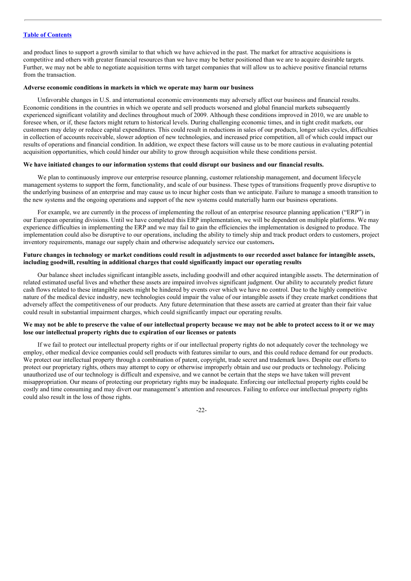and product lines to support a growth similar to that which we have achieved in the past. The market for attractive acquisitions is competitive and others with greater financial resources than we have may be better positioned than we are to acquire desirable targets. Further, we may not be able to negotiate acquisition terms with target companies that will allow us to achieve positive financial returns from the transaction.

#### **Adverse economic conditions in markets in which we operate may harm our business**

Unfavorable changes in U.S. and international economic environments may adversely affect our business and financial results. Economic conditions in the countries in which we operate and sell products worsened and global financial markets subsequently experienced significant volatility and declines throughout much of 2009. Although these conditions improved in 2010, we are unable to foresee when, or if, these factors might return to historical levels. During challenging economic times, and in tight credit markets, our customers may delay or reduce capital expenditures. This could result in reductions in sales of our products, longer sales cycles, difficulties in collection of accounts receivable, slower adoption of new technologies, and increased price competition, all of which could impact our results of operations and financial condition. In addition, we expect these factors will cause us to be more cautious in evaluating potential acquisition opportunities, which could hinder our ability to grow through acquisition while these conditions persist.

#### We have initiated changes to our information systems that could disrupt our business and our financial results.

We plan to continuously improve our enterprise resource planning, customer relationship management, and document lifecycle management systems to support the form, functionality, and scale of our business. These types of transitions frequently prove disruptive to the underlying business of an enterprise and may cause us to incur higher costs than we anticipate. Failure to manage a smooth transition to the new systems and the ongoing operations and support of the new systems could materially harm our business operations.

For example, we are currently in the process of implementing the rollout of an enterprise resource planning application ("ERP") in our European operating divisions. Until we have completed this ERP implementation, we will be dependent on multiple platforms. We may experience difficulties in implementing the ERP and we may fail to gain the efficiencies the implementation is designed to produce. The implementation could also be disruptive to our operations, including the ability to timely ship and track product orders to customers, project inventory requirements, manage our supply chain and otherwise adequately service our customers**.**

## Future changes in technology or market conditions could result in adjustments to our recorded asset balance for intangible assets, **including goodwill, resulting in additional charges that could significantly impact our operating results**

Our balance sheet includes significant intangible assets, including goodwill and other acquired intangible assets. The determination of related estimated useful lives and whether these assets are impaired involves significant judgment. Our ability to accurately predict future cash flows related to these intangible assets might be hindered by events over which we have no control. Due to the highly competitive nature of the medical device industry, new technologies could impair the value of our intangible assets if they create market conditions that adversely affect the competitiveness of our products. Any future determination that these assets are carried at greater than their fair value could result in substantial impairment charges, which could significantly impact our operating results.

## We may not be able to preserve the value of our intellectual property because we may not be able to protect access to it or we may **lose our intellectual property rights due to expiration of our licenses or patents**

If we fail to protect our intellectual property rights or if our intellectual property rights do not adequately cover the technology we employ, other medical device companies could sell products with features similar to ours, and this could reduce demand for our products. We protect our intellectual property through a combination of patent, copyright, trade secret and trademark laws. Despite our efforts to protect our proprietary rights, others may attempt to copy or otherwise improperly obtain and use our products or technology. Policing unauthorized use of our technology is difficult and expensive, and we cannot be certain that the steps we have taken will prevent misappropriation. Our means of protecting our proprietary rights may be inadequate. Enforcing our intellectual property rights could be costly and time consuming and may divert our management's attention and resources. Failing to enforce our intellectual property rights could also result in the loss of those rights.

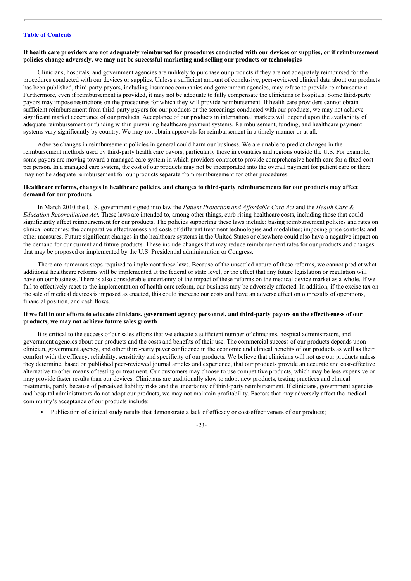## If health care providers are not adequately reimbursed for procedures conducted with our devices or supplies, or if reimbursement **policies change adversely, we may not be successful marketing and selling our products or technologies**

Clinicians, hospitals, and government agencies are unlikely to purchase our products if they are not adequately reimbursed for the procedures conducted with our devices or supplies. Unless a sufficient amount of conclusive, peer-reviewed clinical data about our products has been published, third-party payors, including insurance companies and government agencies, may refuse to provide reimbursement. Furthermore, even if reimbursement is provided, it may not be adequate to fully compensate the clinicians or hospitals. Some third-party payors may impose restrictions on the procedures for which they will provide reimbursement. If health care providers cannot obtain sufficient reimbursement from third-party payors for our products or the screenings conducted with our products, we may not achieve significant market acceptance of our products. Acceptance of our products in international markets will depend upon the availability of adequate reimbursement or funding within prevailing healthcare payment systems. Reimbursement, funding, and healthcare payment systems vary significantly by country. We may not obtain approvals for reimbursement in a timely manner or at all.

Adverse changes in reimbursement policies in general could harm our business. We are unable to predict changes in the reimbursement methods used by third-party health care payors, particularly those in countries and regions outside the U.S. For example, some payors are moving toward a managed care system in which providers contract to provide comprehensive health care for a fixed cost per person. In a managed care system, the cost of our products may not be incorporated into the overall payment for patient care or there may not be adequate reimbursement for our products separate from reimbursement for other procedures.

## Healthcare reforms, changes in healthcare policies, and changes to third-party reimbursements for our products may affect **demand for our products**

In March 2010 the U. S. government signed into law the *Patient Protection and Affordable Care Act* and the *Health Care & Education Reconciliation Act*. These laws are intended to, among other things, curb rising healthcare costs, including those that could significantly affect reimbursement for our products. The policies supporting these laws include: basing reimbursement policies and rates on clinical outcomes; the comparative effectiveness and costs of different treatment technologies and modalities; imposing price controls; and other measures. Future significant changes in the healthcare systems in the United States or elsewhere could also have a negative impact on the demand for our current and future products. These include changes that may reduce reimbursement rates for our products and changes that may be proposed or implemented by the U.S. Presidential administration or Congress.

There are numerous steps required to implement these laws. Because of the unsettled nature of these reforms, we cannot predict what additional healthcare reforms will be implemented at the federal or state level, or the effect that any future legislation or regulation will have on our business. There is also considerable uncertainty of the impact of these reforms on the medical device market as a whole. If we fail to effectively react to the implementation of health care reform, our business may be adversely affected. In addition, if the excise tax on the sale of medical devices is imposed as enacted, this could increase our costs and have an adverse effect on our results of operations, financial position, and cash flows.

## If we fail in our efforts to educate clinicians, government agency personnel, and third-party payors on the effectiveness of our **products, we may not achieve future sales growth**

It is critical to the success of our sales efforts that we educate a sufficient number of clinicians, hospital administrators, and government agencies about our products and the costs and benefits of their use. The commercial success of our products depends upon clinician, government agency, and other third-party payer confidence in the economic and clinical benefits of our products as well as their comfort with the efficacy, reliability, sensitivity and specificity of our products. We believe that clinicians will not use our products unless they determine, based on published peer-reviewed journal articles and experience, that our products provide an accurate and cost-effective alternative to other means of testing or treatment. Our customers may choose to use competitive products, which may be less expensive or may provide faster results than our devices. Clinicians are traditionally slow to adopt new products, testing practices and clinical treatments, partly because of perceived liability risks and the uncertainty of third-party reimbursement. If clinicians, government agencies and hospital administrators do not adopt our products, we may not maintain profitability. Factors that may adversely affect the medical community's acceptance of our products include:

- Publication of clinical study results that demonstrate a lack of efficacy or cost-effectiveness of our products;
	- $-23$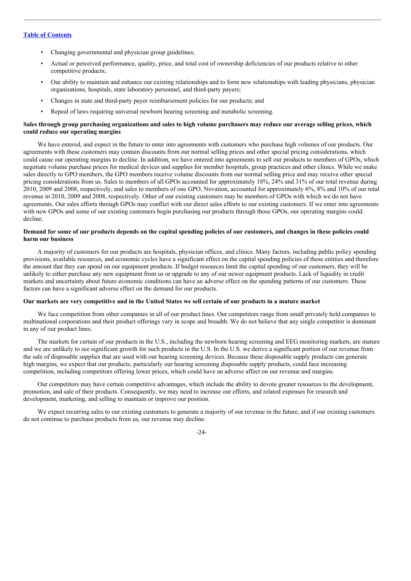- Changing governmental and physician group guidelines:
- Actual or perceived performance, quality, price, and total cost of ownership deficiencies of our products relative to other competitive products;
- Our ability to maintain and enhance our existing relationships and to form new relationships with leading physicians, physician organizations, hospitals, state laboratory personnel, and third-party payers;
- Changes in state and third-party payer reimbursement policies for our products; and
- Repeal of laws requiring universal newborn hearing screening and metabolic screening.

## Sales through group purchasing organizations and sales to high volume purchasers may reduce our average selling prices, which **could reduce our operating margins**

We have entered, and expect in the future to enter into agreements with customers who purchase high volumes of our products. Our agreements with these customers may contain discounts from our normal selling prices and other special pricing considerations, which could cause our operating margins to decline. In addition, we have entered into agreements to sell our products to members of GPOs, which negotiate volume purchase prices for medical devices and supplies for member hospitals, group practices and other clinics. While we make sales directly to GPO members, the GPO members receive volume discounts from our normal selling price and may receive other special pricing considerations from us. Sales to members of all GPOs accounted for approximately 18%, 24% and 31% of our total revenue during 2010, 2009 and 2008, respectively, and sales to members of one GPO, Novation, accounted for approximately 6%, 8% and 10% of our total revenue in 2010, 2009 and 2008, respectively. Other of our existing customers may be members of GPOs with which we do not have agreements. Our sales efforts through GPOs may conflict with our direct sales efforts to our existing customers. If we enter into agreements with new GPOs and some of our existing customers begin purchasing our products through those GPOs, our operating margins could decline.

## Demand for some of our products depends on the capital spending policies of our customers, and changes in these policies could **harm our business**

A majority of customers for our products are hospitals, physician offices, and clinics. Many factors, including public policy spending provisions, available resources, and economic cycles have a significant effect on the capital spending policies of these entities and therefore the amount that they can spend on our equipment products. If budget resources limit the capital spending of our customers, they will be unlikely to either purchase any new equipment from us or upgrade to any of our newer equipment products. Lack of liquidity in credit markets and uncertainty about future economic conditions can have an adverse effect on the spending patterns of our customers. These factors can have a significant adverse effect on the demand for our products.

#### Our markets are very competitive and in the United States we sell certain of our products in a mature market

We face competition from other companies in all of our product lines. Our competitors range from small privately held companies to multinational corporations and their product offerings vary in scope and breadth. We do not believe that any single competitor is dominant in any of our product lines.

The markets for certain of our products in the U.S., including the newborn hearing screening and EEG monitoring markets, are mature and we are unlikely to see significant growth for such products in the U.S. In the U.S. we derive a significant portion of our revenue from the sale of disposable supplies that are used with our hearing screening devices. Because these disposable supply products can generate high margins, we expect that our products, particularly our hearing screening disposable supply products, could face increasing competition, including competitors offering lower prices, which could have an adverse affect on our revenue and margins.

Our competitors may have certain competitive advantages, which include the ability to devote greater resources to the development, promotion, and sale of their products. Consequently, we may need to increase our efforts, and related expenses for research and development, marketing, and selling to maintain or improve our position.

We expect recurring sales to our existing customers to generate a majority of our revenue in the future, and if our existing customers do not continue to purchase products from us, our revenue may decline.

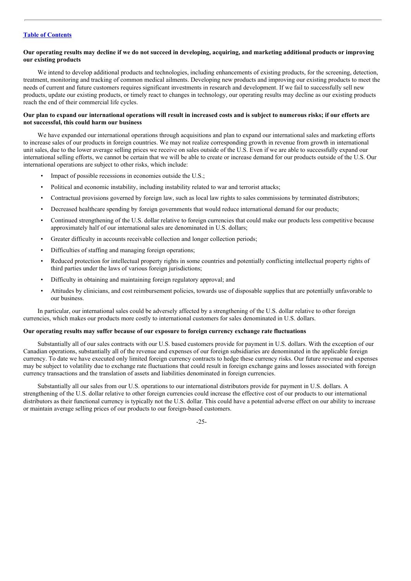## Our operating results may decline if we do not succeed in developing, acquiring, and marketing additional products or improving **our existing products**

We intend to develop additional products and technologies, including enhancements of existing products, for the screening, detection, treatment, monitoring and tracking of common medical ailments. Developing new products and improving our existing products to meet the needs of current and future customers requires significant investments in research and development. If we fail to successfully sell new products, update our existing products, or timely react to changes in technology, our operating results may decline as our existing products reach the end of their commercial life cycles.

## Our plan to expand our international operations will result in increased costs and is subject to numerous risks; if our efforts are **not successful, this could harm our business**

We have expanded our international operations through acquisitions and plan to expand our international sales and marketing efforts to increase sales of our products in foreign countries. We may not realize corresponding growth in revenue from growth in international unit sales, due to the lower average selling prices we receive on sales outside of the U.S. Even if we are able to successfully expand our international selling efforts, we cannot be certain that we will be able to create or increase demand for our products outside of the U.S. Our international operations are subject to other risks, which include:

- Impact of possible recessions in economies outside the U.S.;
- Political and economic instability, including instability related to war and terrorist attacks;
- Contractual provisions governed by foreign law, such as local law rights to sales commissions by terminated distributors;
- Decreased healthcare spending by foreign governments that would reduce international demand for our products;
- Continued strengthening of the U.S. dollar relative to foreign currencies that could make our products less competitive because approximately half of our international sales are denominated in U.S. dollars;
- Greater difficulty in accounts receivable collection and longer collection periods;
- Difficulties of staffing and managing foreign operations;
- Reduced protection for intellectual property rights in some countries and potentially conflicting intellectual property rights of third parties under the laws of various foreign jurisdictions;
- Difficulty in obtaining and maintaining foreign regulatory approval; and
- Attitudes by clinicians, and cost reimbursement policies, towards use of disposable supplies that are potentially unfavorable to our business.

In particular, our international sales could be adversely affected by a strengthening of the U.S. dollar relative to other foreign currencies, which makes our products more costly to international customers for sales denominated in U.S. dollars.

## **Our operating results may suffer because of our exposure to foreign currency exchange rate fluctuations**

Substantially all of our sales contracts with our U.S. based customers provide for payment in U.S. dollars. With the exception of our Canadian operations, substantially all of the revenue and expenses of our foreign subsidiaries are denominated in the applicable foreign currency. To date we have executed only limited foreign currency contracts to hedge these currency risks. Our future revenue and expenses may be subject to volatility due to exchange rate fluctuations that could result in foreign exchange gains and losses associated with foreign currency transactions and the translation of assets and liabilities denominated in foreign currencies.

Substantially all our sales from our U.S. operations to our international distributors provide for payment in U.S. dollars. A strengthening of the U.S. dollar relative to other foreign currencies could increase the effective cost of our products to our international distributors as their functional currency is typically not the U.S. dollar. This could have a potential adverse effect on our ability to increase or maintain average selling prices of our products to our foreign-based customers.

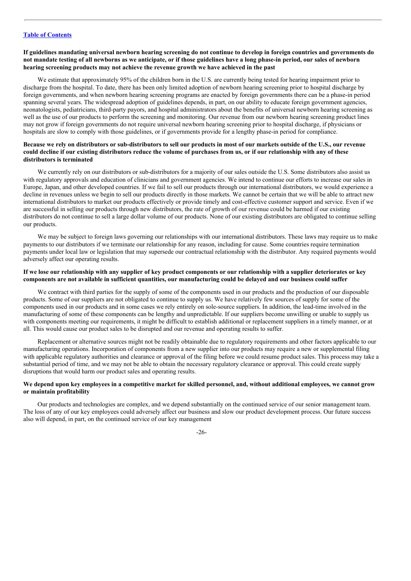## If guidelines mandating universal newborn hearing screening do not continue to develop in foreign countries and governments do not mandate testing of all newborns as we anticipate, or if those guidelines have a long phase-in period, our sales of newborn **hearing screening products may not achieve the revenue growth we have achieved in the past**

We estimate that approximately 95% of the children born in the U.S. are currently being tested for hearing impairment prior to discharge from the hospital. To date, there has been only limited adoption of newborn hearing screening prior to hospital discharge by foreign governments, and when newborn hearing screening programs are enacted by foreign governments there can be a phase-in period spanning several years. The widespread adoption of guidelines depends, in part, on our ability to educate foreign government agencies, neonatologists, pediatricians, third-party payors, and hospital administrators about the benefits of universal newborn hearing screening as well as the use of our products to perform the screening and monitoring. Our revenue from our newborn hearing screening product lines may not grow if foreign governments do not require universal newborn hearing screening prior to hospital discharge, if physicians or hospitals are slow to comply with those guidelines, or if governments provide for a lengthy phase-in period for compliance.

## Because we rely on distributors or sub-distributors to sell our products in most of our markets outside of the U.S., our revenue could decline if our existing distributors reduce the volume of purchases from us, or if our relationship with any of these **distributors is terminated**

We currently rely on our distributors or sub-distributors for a majority of our sales outside the U.S. Some distributors also assist us with regulatory approvals and education of clinicians and government agencies. We intend to continue our efforts to increase our sales in Europe, Japan, and other developed countries. If we fail to sell our products through our international distributors, we would experience a decline in revenues unless we begin to sell our products directly in those markets. We cannot be certain that we will be able to attract new international distributors to market our products effectively or provide timely and cost-effective customer support and service. Even if we are successful in selling our products through new distributors, the rate of growth of our revenue could be harmed if our existing distributors do not continue to sell a large dollar volume of our products. None of our existing distributors are obligated to continue selling our products.

We may be subject to foreign laws governing our relationships with our international distributors. These laws may require us to make payments to our distributors if we terminate our relationship for any reason, including for cause. Some countries require termination payments under local law or legislation that may supersede our contractual relationship with the distributor. Any required payments would adversely affect our operating results.

## If we lose our relationship with any supplier of key product components or our relationship with a supplier deteriorates or key components are not available in sufficient quantities, our manufacturing could be delayed and our business could suffer

We contract with third parties for the supply of some of the components used in our products and the production of our disposable products. Some of our suppliers are not obligated to continue to supply us. We have relatively few sources of supply for some of the components used in our products and in some cases we rely entirely on sole-source suppliers. In addition, the lead-time involved in the manufacturing of some of these components can be lengthy and unpredictable. If our suppliers become unwilling or unable to supply us with components meeting our requirements, it might be difficult to establish additional or replacement suppliers in a timely manner, or at all. This would cause our product sales to be disrupted and our revenue and operating results to suffer.

Replacement or alternative sources might not be readily obtainable due to regulatory requirements and other factors applicable to our manufacturing operations. Incorporation of components from a new supplier into our products may require a new or supplemental filing with applicable regulatory authorities and clearance or approval of the filing before we could resume product sales. This process may take a substantial period of time, and we may not be able to obtain the necessary regulatory clearance or approval. This could create supply disruptions that would harm our product sales and operating results.

## We depend upon key employees in a competitive market for skilled personnel, and, without additional employees, we cannot grow **or maintain profitability**

Our products and technologies are complex, and we depend substantially on the continued service of our senior management team. The loss of any of our key employees could adversely affect our business and slow our product development process. Our future success also will depend, in part, on the continued service of our key management

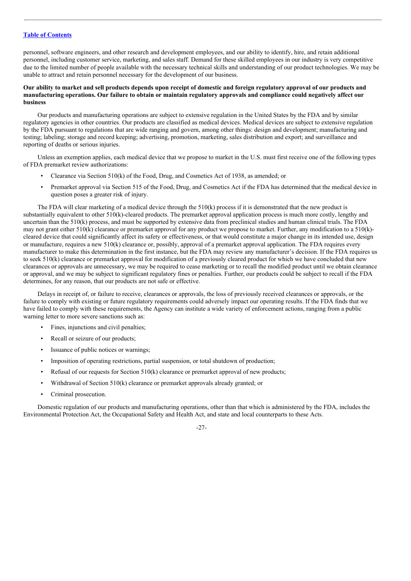personnel, software engineers, and other research and development employees, and our ability to identify, hire, and retain additional personnel, including customer service, marketing, and sales staff. Demand for these skilled employees in our industry is very competitive due to the limited number of people available with the necessary technical skills and understanding of our product technologies. We may be unable to attract and retain personnel necessary for the development of our business.

## Our ability to market and sell products depends upon receipt of domestic and foreign regulatory approval of our products and manufacturing operations. Our failure to obtain or maintain regulatory approvals and compliance could negatively affect our **business**

Our products and manufacturing operations are subject to extensive regulation in the United States by the FDA and by similar regulatory agencies in other countries. Our products are classified as medical devices. Medical devices are subject to extensive regulation by the FDA pursuant to regulations that are wide ranging and govern, among other things: design and development; manufacturing and testing; labeling; storage and record keeping; advertising, promotion, marketing, sales distribution and export; and surveillance and reporting of deaths or serious injuries.

Unless an exemption applies, each medical device that we propose to market in the U.S. must first receive one of the following types of FDA premarket review authorizations:

- Clearance via Section 510(k) of the Food, Drug, and Cosmetics Act of 1938, as amended; or
- Premarket approval via Section 515 of the Food, Drug, and Cosmetics Act if the FDA has determined that the medical device in question poses a greater risk of injury.

The FDA will clear marketing of a medical device through the  $510(k)$  process if it is demonstrated that the new product is substantially equivalent to other 510(k)-cleared products. The premarket approval application process is much more costly, lengthy and uncertain than the 510(k) process, and must be supported by extensive data from preclinical studies and human clinical trials. The FDA may not grant either 510(k) clearance or premarket approval for any product we propose to market. Further, any modification to a 510(k) cleared device that could significantly affect its safety or effectiveness, or that would constitute a major change in its intended use, design or manufacture, requires a new 510(k) clearance or, possibly, approval of a premarket approval application. The FDA requires every manufacturer to make this determination in the first instance, but the FDA may review any manufacturer's decision. If the FDA requires us to seek 510(k) clearance or premarket approval for modification of a previously cleared product for which we have concluded that new clearances or approvals are unnecessary, we may be required to cease marketing or to recall the modified product until we obtain clearance or approval, and we may be subject to significant regulatory fines or penalties. Further, our products could be subject to recall if the FDA determines, for any reason, that our products are not safe or effective.

Delays in receipt of, or failure to receive, clearances or approvals, the loss of previously received clearances or approvals, or the failure to comply with existing or future regulatory requirements could adversely impact our operating results. If the FDA finds that we have failed to comply with these requirements, the Agency can institute a wide variety of enforcement actions, ranging from a public warning letter to more severe sanctions such as:

- Fines, injunctions and civil penalties;
- Recall or seizure of our products;
- Issuance of public notices or warnings;
- Imposition of operating restrictions, partial suspension, or total shutdown of production;
- Refusal of our requests for Section  $510(k)$  clearance or premarket approval of new products;
- Withdrawal of Section 510(k) clearance or premarket approvals already granted; or
- Criminal prosecution.

Domestic regulation of our products and manufacturing operations, other than that which is administered by the FDA, includes the Environmental Protection Act, the Occupational Safety and Health Act, and state and local counterparts to these Acts.

## -27-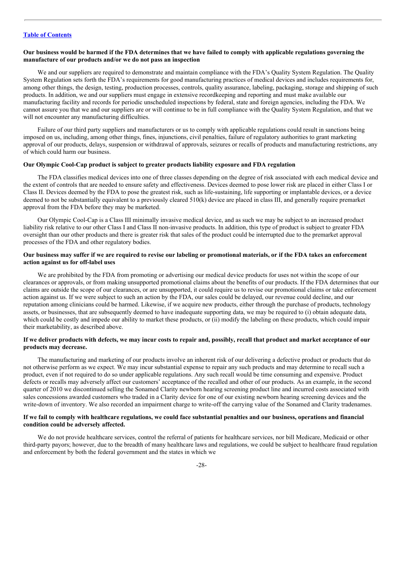## Our business would be harmed if the FDA determines that we have failed to comply with applicable regulations governing the **manufacture of our products and/or we do not pass an inspection**

We and our suppliers are required to demonstrate and maintain compliance with the FDA's Quality System Regulation. The Quality System Regulation sets forth the FDA's requirements for good manufacturing practices of medical devices and includes requirements for, among other things, the design, testing, production processes, controls, quality assurance, labeling, packaging, storage and shipping of such products. In addition, we and our suppliers must engage in extensive recordkeeping and reporting and must make available our manufacturing facility and records for periodic unscheduled inspections by federal, state and foreign agencies, including the FDA. We cannot assure you that we and our suppliers are or will continue to be in full compliance with the Quality System Regulation, and that we will not encounter any manufacturing difficulties.

Failure of our third party suppliers and manufacturers or us to comply with applicable regulations could result in sanctions being imposed on us, including, among other things, fines, injunctions, civil penalties, failure of regulatory authorities to grant marketing approval of our products, delays, suspension or withdrawal of approvals, seizures or recalls of products and manufacturing restrictions, any of which could harm our business.

## **Our Olympic Cool-Cap product is subject to greater products liability exposure and FDA regulation**

The FDA classifies medical devices into one of three classes depending on the degree of risk associated with each medical device and the extent of controls that are needed to ensure safety and effectiveness. Devices deemed to pose lower risk are placed in either Class I or Class II. Devices deemed by the FDA to pose the greatest risk, such as life-sustaining, life supporting or implantable devices, or a device deemed to not be substantially equivalent to a previously cleared 510(k) device are placed in class III, and generally require premarket approval from the FDA before they may be marketed.

Our Olympic Cool-Cap is a Class III minimally invasive medical device, and as such we may be subject to an increased product liability risk relative to our other Class I and Class II non-invasive products. In addition, this type of product is subject to greater FDA oversight than our other products and there is greater risk that sales of the product could be interrupted due to the premarket approval processes of the FDA and other regulatory bodies.

#### Our business may suffer if we are required to revise our labeling or promotional materials, or if the FDA takes an enforcement **action against us for off-label uses**

We are prohibited by the FDA from promoting or advertising our medical device products for uses not within the scope of our clearances or approvals, or from making unsupported promotional claims about the benefits of our products. If the FDA determines that our claims are outside the scope of our clearances, or are unsupported, it could require us to revise our promotional claims or take enforcement action against us. If we were subject to such an action by the FDA, our sales could be delayed, our revenue could decline, and our reputation among clinicians could be harmed. Likewise, if we acquire new products, either through the purchase of products, technology assets, or businesses, that are subsequently deemed to have inadequate supporting data, we may be required to (i) obtain adequate data, which could be costly and impede our ability to market these products, or (ii) modify the labeling on these products, which could impair their marketability, as described above.

## If we deliver products with defects, we may incur costs to repair and, possibly, recall that product and market acceptance of our **products may decrease.**

The manufacturing and marketing of our products involve an inherent risk of our delivering a defective product or products that do not otherwise perform as we expect. We may incur substantial expense to repair any such products and may determine to recall such a product, even if not required to do so under applicable regulations. Any such recall would be time consuming and expensive. Product defects or recalls may adversely affect our customers' acceptance of the recalled and other of our products. As an example, in the second quarter of 2010 we discontinued selling the Sonamed Clarity newborn hearing screening product line and incurred costs associated with sales concessions awarded customers who traded in a Clarity device for one of our existing newborn hearing screening devices and the write-down of inventory. We also recorded an impairment charge to write-off the carrying value of the Sonamed and Clarity tradenames.

## If we fail to comply with healthcare regulations, we could face substantial penalties and our business, operations and financial **condition could be adversely affected.**

We do not provide healthcare services, control the referral of patients for healthcare services, nor bill Medicare, Medicaid or other third-party payors; however, due to the breadth of many healthcare laws and regulations, we could be subject to healthcare fraud regulation and enforcement by both the federal government and the states in which we

-28-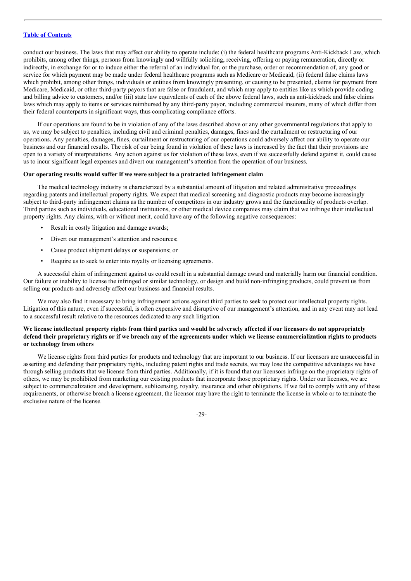conduct our business. The laws that may affect our ability to operate include: (i) the federal healthcare programs Anti-Kickback Law, which prohibits, among other things, persons from knowingly and willfully soliciting, receiving, offering or paying remuneration, directly or indirectly, in exchange for or to induce either the referral of an individual for, or the purchase, order or recommendation of, any good or service for which payment may be made under federal healthcare programs such as Medicare or Medicaid, (ii) federal false claims laws which prohibit, among other things, individuals or entities from knowingly presenting, or causing to be presented, claims for payment from Medicare, Medicaid, or other third-party payors that are false or fraudulent, and which may apply to entities like us which provide coding and billing advice to customers, and/or (iii) state law equivalents of each of the above federal laws, such as anti-kickback and false claims laws which may apply to items or services reimbursed by any third-party payor, including commercial insurers, many of which differ from their federal counterparts in significant ways, thus complicating compliance efforts.

If our operations are found to be in violation of any of the laws described above or any other governmental regulations that apply to us, we may be subject to penalties, including civil and criminal penalties, damages, fines and the curtailment or restructuring of our operations. Any penalties, damages, fines, curtailment or restructuring of our operations could adversely affect our ability to operate our business and our financial results. The risk of our being found in violation of these laws is increased by the fact that their provisions are open to a variety of interpretations. Any action against us for violation of these laws, even if we successfully defend against it, could cause us to incur significant legal expenses and divert our management's attention from the operation of our business.

#### **Our operating results would suffer if we were subject to a protracted infringement claim**

The medical technology industry is characterized by a substantial amount of litigation and related administrative proceedings regarding patents and intellectual property rights. We expect that medical screening and diagnostic products may become increasingly subject to third-party infringement claims as the number of competitors in our industry grows and the functionality of products overlap. Third parties such as individuals, educational institutions, or other medical device companies may claim that we infringe their intellectual property rights. Any claims, with or without merit, could have any of the following negative consequences:

- Result in costly litigation and damage awards;
- Divert our management's attention and resources;
- Cause product shipment delays or suspensions; or
- Require us to seek to enter into royalty or licensing agreements.

A successful claim of infringement against us could result in a substantial damage award and materially harm our financial condition. Our failure or inability to license the infringed or similar technology, or design and build non-infringing products, could prevent us from selling our products and adversely affect our business and financial results.

We may also find it necessary to bring infringement actions against third parties to seek to protect our intellectual property rights. Litigation of this nature, even if successful, is often expensive and disruptive of our management's attention, and in any event may not lead to a successful result relative to the resources dedicated to any such litigation.

## We license intellectual property rights from third parties and would be adversely affected if our licensors do not appropriately defend their proprietary rights or if we breach any of the agreements under which we license commercialization rights to products **or technology from others**

We license rights from third parties for products and technology that are important to our business. If our licensors are unsuccessful in asserting and defending their proprietary rights, including patent rights and trade secrets, we may lose the competitive advantages we have through selling products that we license from third parties. Additionally, if it is found that our licensors infringe on the proprietary rights of others, we may be prohibited from marketing our existing products that incorporate those proprietary rights. Under our licenses, we are subject to commercialization and development, sublicensing, royalty, insurance and other obligations. If we fail to comply with any of these requirements, or otherwise breach a license agreement, the licensor may have the right to terminate the license in whole or to terminate the exclusive nature of the license.

## -29-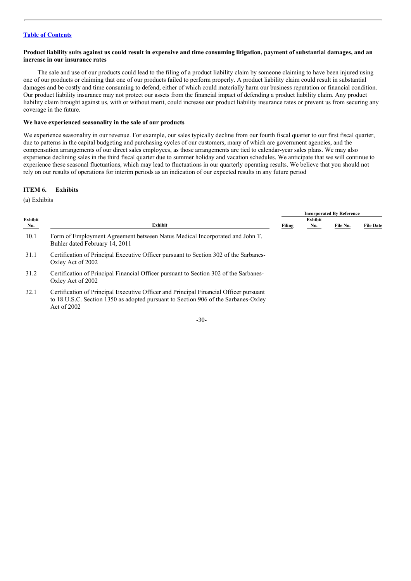## Product liability suits against us could result in expensive and time consuming litigation, payment of substantial damages, and an **increase in our insurance rates**

The sale and use of our products could lead to the filing of a product liability claim by someone claiming to have been injured using one of our products or claiming that one of our products failed to perform properly. A product liability claim could result in substantial damages and be costly and time consuming to defend, either of which could materially harm our business reputation or financial condition. Our product liability insurance may not protect our assets from the financial impact of defending a product liability claim. Any product liability claim brought against us, with or without merit, could increase our product liability insurance rates or prevent us from securing any coverage in the future.

## **We have experienced seasonality in the sale of our products**

We experience seasonality in our revenue. For example, our sales typically decline from our fourth fiscal quarter to our first fiscal quarter, due to patterns in the capital budgeting and purchasing cycles of our customers, many of which are government agencies, and the compensation arrangements of our direct sales employees, as those arrangements are tied to calendar-year sales plans. We may also experience declining sales in the third fiscal quarter due to summer holiday and vacation schedules. We anticipate that we will continue to experience these seasonal fluctuations, which may lead to fluctuations in our quarterly operating results. We believe that you should not rely on our results of operations for interim periods as an indication of our expected results in any future period

## **ITEM 6. Exhibits**

(a) Exhibits

|         |                                                                                                                                                                                            | <b>Incorporated By Reference</b> |         |          |                  |
|---------|--------------------------------------------------------------------------------------------------------------------------------------------------------------------------------------------|----------------------------------|---------|----------|------------------|
| Exhibit | Exhibit                                                                                                                                                                                    |                                  | Exhibit |          |                  |
| No.     |                                                                                                                                                                                            | <b>Filing</b>                    | No.     | File No. | <b>File Date</b> |
| 10.1    | Form of Employment Agreement between Natus Medical Incorporated and John T.<br>Buhler dated February 14, 2011                                                                              |                                  |         |          |                  |
| 31.1    | Certification of Principal Executive Officer pursuant to Section 302 of the Sarbanes-<br>Oxley Act of 2002                                                                                 |                                  |         |          |                  |
| 31.2    | Certification of Principal Financial Officer pursuant to Section 302 of the Sarbanes-<br>Oxley Act of 2002                                                                                 |                                  |         |          |                  |
| 32.1    | Certification of Principal Executive Officer and Principal Financial Officer pursuant<br>to 18 U.S.C. Section 1350 as adopted pursuant to Section 906 of the Sarbanes-Oxley<br>Act of 2002 |                                  |         |          |                  |
|         | $\Omega$                                                                                                                                                                                   |                                  |         |          |                  |

-30-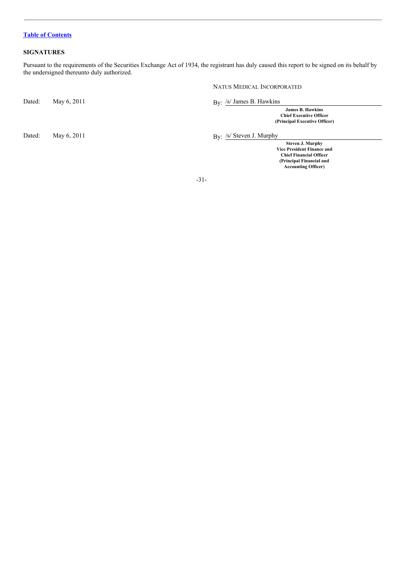# **SIGNATURES**

Pursuant to the requirements of the Securities Exchange Act of 1934, the registrant has duly caused this report to be signed on its behalf by the undersigned thereunto duly authorized.

Dated: May 6, 2011

Dated: May 6, 2011

NATUS MEDICAL INCORPORATED

By: /s/ James B. Hawkins

**James B. Hawkins Chief Executive Officer (Principal Executive Officer)**

By: /s/ Steven J. Murphy

**Steven J. Murphy Vice President Finance and Chief Financial Officer (Principal Financial and Accounting Officer)**

-31-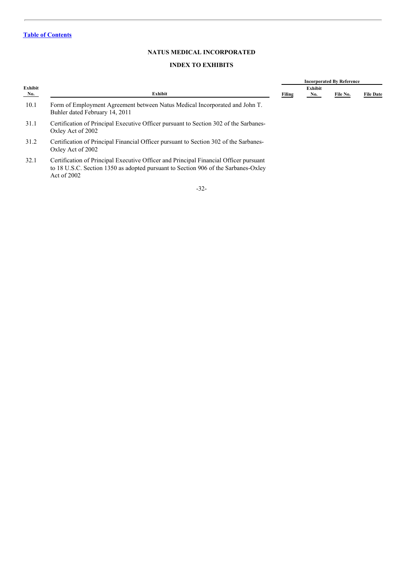# **NATUS MEDICAL INCORPORATED**

# **INDEX TO EXHIBITS**

|                |                                                                                                               | <b>Incorporated By Reference</b> |                       |          |                  |
|----------------|---------------------------------------------------------------------------------------------------------------|----------------------------------|-----------------------|----------|------------------|
| Exhibit<br>No. | Exhibit                                                                                                       | Filing                           | Exhibit<br><b>No.</b> | File No. | <b>File Date</b> |
| 10.1           | Form of Employment Agreement between Natus Medical Incorporated and John T.<br>Buhler dated February 14, 2011 |                                  |                       |          |                  |
| 31.1           | Certification of Principal Executive Officer pursuant to Section 302 of the Sarbanes-<br>Oxley Act of 2002    |                                  |                       |          |                  |

31.2 Certification of Principal Financial Officer pursuant to Section 302 of the Sarbanes-Oxley Act of 2002

32.1 Certification of Principal Executive Officer and Principal Financial Officer pursuant to 18 U.S.C. Section 1350 as adopted pursuant to Section 906 of the Sarbanes-Oxley Act of 2002

-32-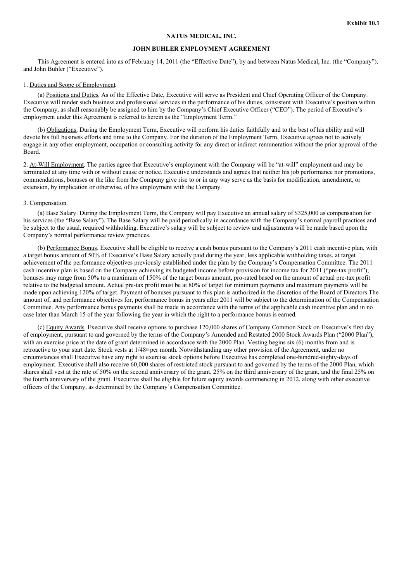## **NATUS MEDICAL, INC.**

# **JOHN BUHLER EMPLOYMENT AGREEMENT**

This Agreement is entered into as of February 14, 2011 (the "Effective Date"), by and between Natus Medical, Inc. (the "Company"), and John Buhler ("Executive").

## 1. Duties and Scope of Employment.

(a) Positions and Duties. As of the Effective Date, Executive will serve as President and Chief Operating Officer of the Company. Executive will render such business and professional services in the performance of his duties, consistent with Executive's position within the Company, as shall reasonably be assigned to him by the Company's Chief Executive Officer ("CEO"). The period of Executive's employment under this Agreement is referred to herein as the "Employment Term."

(b) Obligations. During the Employment Term, Executive will perform his duties faithfully and to the best of his ability and will devote his full business efforts and time to the Company. For the duration of the Employment Term, Executive agrees not to actively engage in any other employment, occupation or consulting activity for any direct or indirect remuneration without the prior approval of the Board.

2. At-Will Employment. The parties agree that Executive's employment with the Company will be "at-will" employment and may be terminated at any time with or without cause or notice. Executive understands and agrees that neither his job performance nor promotions, commendations, bonuses or the like from the Company give rise to or in any way serve as the basis for modification, amendment, or extension, by implication or otherwise, of his employment with the Company.

#### 3. Compensation.

(a) Base Salary. During the Employment Term, the Company will pay Executive an annual salary of \$325,000 as compensation for his services (the "Base Salary"). The Base Salary will be paid periodically in accordance with the Company's normal payroll practices and be subject to the usual, required withholding. Executive's salary will be subject to review and adjustments will be made based upon the Company's normal performance review practices.

(b) Performance Bonus. Executive shall be eligible to receive a cash bonus pursuant to the Company's 2011 cash incentive plan, with a target bonus amount of 50% of Executive's Base Salary actually paid during the year, less applicable withholding taxes, at target achievement of the performance objectives previously established under the plan by the Company's Compensation Committee. The 2011 cash incentive plan is based on the Company achieving its budgeted income before provision for income tax for 2011 ("pre-tax profit"); bonuses may range from 50% to a maximum of 150% of the target bonus amount, pro-rated based on the amount of actual pre-tax profit relative to the budgeted amount. Actual pre-tax profit must be at 80% of target for minimum payments and maximum payments will be made upon achieving 120% of target. Payment of bonuses pursuant to this plan is authorized in the discretion of the Board of Directors.The amount of, and performance objectives for, performance bonus in years after 2011 will be subject to the determination of the Compensation Committee. Any performance bonus payments shall be made in accordance with the terms of the applicable cash incentive plan and in no case later than March 15 of the year following the year in which the right to a performance bonus is earned.

(c) Equity Awards. Executive shall receive options to purchase 120,000 shares of Company Common Stock on Executive's first day of employment, pursuant to and governed by the terms of the Company's Amended and Restated 2000 Stock Awards Plan ("2000 Plan"), with an exercise price at the date of grant determined in accordance with the 2000 Plan. Vesting begins six (6) months from and is retroactive to your start date. Stock vests at 1/48<sup>th</sup> per month. Notwithstanding any other provision of the Agreement, under no circumstances shall Executive have any right to exercise stock options before Executive has completed one-hundred-eighty-days of employment. Executive shall also receive 60,000 shares of restricted stock pursuant to and governed by the terms of the 2000 Plan, which shares shall vest at the rate of 50% on the second anniversary of the grant, 25% on the third anniversary of the grant, and the final 25% on the fourth anniversary of the grant. Executive shall be eligible for future equity awards commencing in 2012, along with other executive officers of the Company, as determined by the Company's Compensation Committee.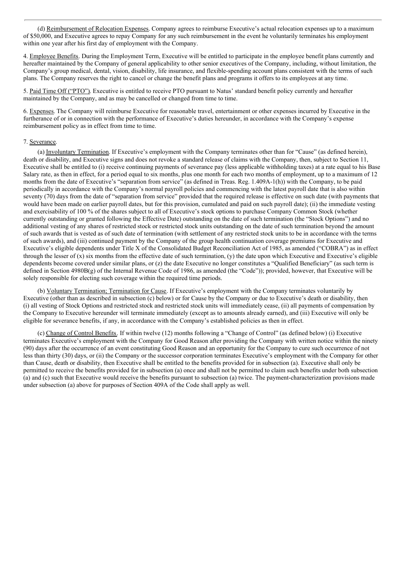(d) Reimbursement of Relocation Expenses. Company agrees to reimburse Executive's actual relocation expenses up to a maximum of \$50,000, and Executive agrees to repay Company for any such reimbursement in the event he voluntarily terminates his employment within one year after his first day of employment with the Company.

4. Employee Benefits. During the Employment Term, Executive will be entitled to participate in the employee benefit plans currently and hereafter maintained by the Company of general applicability to other senior executives of the Company, including, without limitation, the Company's group medical, dental, vision, disability, life insurance, and flexible-spending account plans consistent with the terms of such plans. The Company reserves the right to cancel or change the benefit plans and programs it offers to its employees at any time.

5. Paid Time Off ("PTO"). Executive is entitled to receive PTO pursuant to Natus' standard benefit policy currently and hereafter maintained by the Company, and as may be cancelled or changed from time to time.

6. Expenses. The Company will reimburse Executive for reasonable travel, entertainment or other expenses incurred by Executive in the furtherance of or in connection with the performance of Executive's duties hereunder, in accordance with the Company's expense reimbursement policy as in effect from time to time.

## 7. Severance.

(a) Involuntary Termination. If Executive's employment with the Company terminates other than for "Cause" (as defined herein), death or disability, and Executive signs and does not revoke a standard release of claims with the Company, then, subject to Section 11, Executive shall be entitled to (i) receive continuing payments of severance pay (less applicable withholding taxes) at a rate equal to his Base Salary rate, as then in effect, for a period equal to six months, plus one month for each two months of employment, up to a maximum of 12 months from the date of Executive's "separation from service" (as defined in Treas. Reg. 1.409A-1(h)) with the Company, to be paid periodically in accordance with the Company's normal payroll policies and commencing with the latest payroll date that is also within seventy (70) days from the date of "separation from service" provided that the required release is effective on such date (with payments that would have been made on earlier payroll dates, but for this provision, cumulated and paid on such payroll date); (ii) the immediate vesting and exercisability of 100 % of the shares subject to all of Executive's stock options to purchase Company Common Stock (whether currently outstanding or granted following the Effective Date) outstanding on the date of such termination (the "Stock Options") and no additional vesting of any shares of restricted stock or restricted stock units outstanding on the date of such termination beyond the amount of such awards that is vested as of such date of termination (with settlement of any restricted stock units to be in accordance with the terms of such awards), and (iii) continued payment by the Company of the group health continuation coverage premiums for Executive and Executive's eligible dependents under Title X of the Consolidated Budget Reconciliation Act of 1985, as amended ("COBRA") as in effect through the lesser of  $(x)$  six months from the effective date of such termination,  $(y)$  the date upon which Executive and Executive's eligible dependents become covered under similar plans, or (z) the date Executive no longer constitutes a "Qualified Beneficiary" (as such term is defined in Section  $4980B(g)$  of the Internal Revenue Code of 1986, as amended (the "Code")); provided, however, that Executive will be solely responsible for electing such coverage within the required time periods.

(b) Voluntary Termination; Termination for Cause. If Executive's employment with the Company terminates voluntarily by Executive (other than as described in subsection (c) below) or for Cause by the Company or due to Executive's death or disability, then (i) all vesting of Stock Options and restricted stock and restricted stock units will immediately cease, (ii) all payments of compensation by the Company to Executive hereunder will terminate immediately (except as to amounts already earned), and (iii) Executive will only be eligible for severance benefits, if any, in accordance with the Company's established policies as then in effect.

(c) Change of Control Benefits. If within twelve (12) months following a "Change of Control" (as defined below) (i) Executive terminates Executive's employment with the Company for Good Reason after providing the Company with written notice within the ninety (90) days after the occurrence of an event constituting Good Reason and an opportunity for the Company to cure such occurrence of not less than thirty (30) days, or (ii) the Company or the successor corporation terminates Executive's employment with the Company for other than Cause, death or disability, then Executive shall be entitled to the benefits provided for in subsection (a). Executive shall only be permitted to receive the benefits provided for in subsection (a) once and shall not be permitted to claim such benefits under both subsection (a) and (c) such that Executive would receive the benefits pursuant to subsection (a) twice. The payment-characterization provisions made under subsection (a) above for purposes of Section 409A of the Code shall apply as well.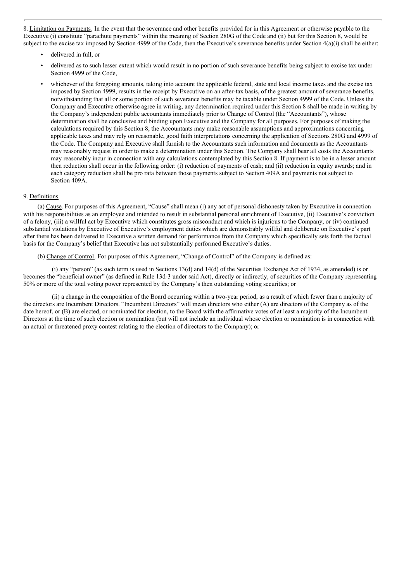8. Limitation on Payments. In the event that the severance and other benefits provided for in this Agreement or otherwise payable to the Executive (i) constitute "parachute payments" within the meaning of Section 280G of the Code and (ii) but for this Section 8, would be subject to the excise tax imposed by Section 4999 of the Code, then the Executive's severance benefits under Section 4(a)(i) shall be either:

- delivered in full, or
- delivered as to such lesser extent which would result in no portion of such severance benefits being subject to excise tax under Section 4999 of the Code,
- whichever of the foregoing amounts, taking into account the applicable federal, state and local income taxes and the excise tax imposed by Section 4999, results in the receipt by Executive on an after-tax basis, of the greatest amount of severance benefits, notwithstanding that all or some portion of such severance benefits may be taxable under Section 4999 of the Code. Unless the Company and Executive otherwise agree in writing, any determination required under this Section 8 shall be made in writing by the Company's independent public accountants immediately prior to Change of Control (the "Accountants"), whose determination shall be conclusive and binding upon Executive and the Company for all purposes. For purposes of making the calculations required by this Section 8, the Accountants may make reasonable assumptions and approximations concerning applicable taxes and may rely on reasonable, good faith interpretations concerning the application of Sections 280G and 4999 of the Code. The Company and Executive shall furnish to the Accountants such information and documents as the Accountants may reasonably request in order to make a determination under this Section. The Company shall bear all costs the Accountants may reasonably incur in connection with any calculations contemplated by this Section 8. If payment is to be in a lesser amount then reduction shall occur in the following order: (i) reduction of payments of cash; and (ii) reduction in equity awards; and in each category reduction shall be pro rata between those payments subject to Section 409A and payments not subject to Section 409A.

## 9. Definitions.

(a) Cause. For purposes of this Agreement, "Cause" shall mean (i) any act of personal dishonesty taken by Executive in connection with his responsibilities as an employee and intended to result in substantial personal enrichment of Executive, (ii) Executive's conviction of a felony, (iii) a willful act by Executive which constitutes gross misconduct and which is injurious to the Company, or (iv) continued substantial violations by Executive of Executive's employment duties which are demonstrably willful and deliberate on Executive's part after there has been delivered to Executive a written demand for performance from the Company which specifically sets forth the factual basis for the Company's belief that Executive has not substantially performed Executive's duties.

(b) Change of Control. For purposes of this Agreement, "Change of Control" of the Company is defined as:

(i) any "person" (as such term is used in Sections 13(d) and 14(d) of the Securities Exchange Act of 1934, as amended) is or becomes the "beneficial owner" (as defined in Rule 13d-3 under said Act), directly or indirectly, of securities of the Company representing 50% or more of the total voting power represented by the Company's then outstanding voting securities; or

(ii) a change in the composition of the Board occurring within a two-year period, as a result of which fewer than a majority of the directors are Incumbent Directors. "Incumbent Directors" will mean directors who either (A) are directors of the Company as of the date hereof, or (B) are elected, or nominated for election, to the Board with the affirmative votes of at least a majority of the Incumbent Directors at the time of such election or nomination (but will not include an individual whose election or nomination is in connection with an actual or threatened proxy contest relating to the election of directors to the Company); or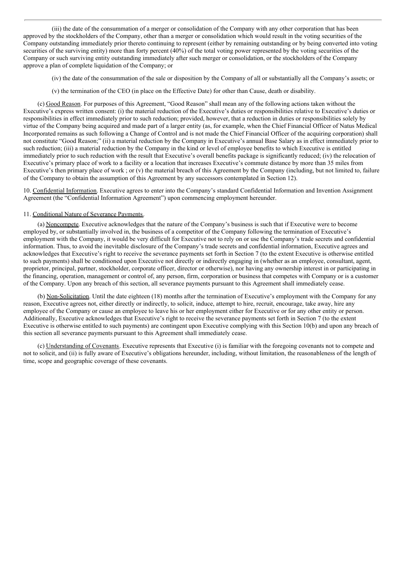(iii) the date of the consummation of a merger or consolidation of the Company with any other corporation that has been approved by the stockholders of the Company, other than a merger or consolidation which would result in the voting securities of the Company outstanding immediately prior thereto continuing to represent (either by remaining outstanding or by being converted into voting securities of the surviving entity) more than forty percent (40%) of the total voting power represented by the voting securities of the Company or such surviving entity outstanding immediately after such merger or consolidation, or the stockholders of the Company approve a plan of complete liquidation of the Company; or

- (iv) the date of the consummation of the sale or disposition by the Company of all or substantially all the Company's assets; or
- (v) the termination of the CEO (in place on the Effective Date) for other than Cause, death or disability.

(c) Good Reason. For purposes of this Agreement, "Good Reason" shall mean any of the following actions taken without the Executive's express written consent: (i) the material reduction of the Executive's duties or responsibilities relative to Executive's duties or responsibilities in effect immediately prior to such reduction; provided, however, that a reduction in duties or responsibilities solely by virtue of the Company being acquired and made part of a larger entity (as, for example, when the Chief Financial Officer of Natus Medical Incorporated remains as such following a Change of Control and is not made the Chief Financial Officer of the acquiring corporation) shall not constitute "Good Reason;" (ii) a material reduction by the Company in Executive's annual Base Salary as in effect immediately prior to such reduction; (iii) a material reduction by the Company in the kind or level of employee benefits to which Executive is entitled immediately prior to such reduction with the result that Executive's overall benefits package is significantly reduced; (iv) the relocation of Executive's primary place of work to a facility or a location that increases Executive's commute distance by more than 35 miles from Executive's then primary place of work ; or (v) the material breach of this Agreement by the Company (including, but not limited to, failure of the Company to obtain the assumption of this Agreement by any successors contemplated in Section 12).

10. Confidential Information. Executive agrees to enter into the Company's standard Confidential Information and Invention Assignment Agreement (the "Confidential Information Agreement") upon commencing employment hereunder.

#### 11. Conditional Nature of Severance Payments.

(a) Noncompete. Executive acknowledges that the nature of the Company's business is such that if Executive were to become employed by, or substantially involved in, the business of a competitor of the Company following the termination of Executive's employment with the Company, it would be very difficult for Executive not to rely on or use the Company's trade secrets and confidential information. Thus, to avoid the inevitable disclosure of the Company's trade secrets and confidential information, Executive agrees and acknowledges that Executive's right to receive the severance payments set forth in Section 7 (to the extent Executive is otherwise entitled to such payments) shall be conditioned upon Executive not directly or indirectly engaging in (whether as an employee, consultant, agent, proprietor, principal, partner, stockholder, corporate officer, director or otherwise), nor having any ownership interest in or participating in the financing, operation, management or control of, any person, firm, corporation or business that competes with Company or is a customer of the Company. Upon any breach of this section, all severance payments pursuant to this Agreement shall immediately cease.

(b) Non-Solicitation. Until the date eighteen (18) months after the termination of Executive's employment with the Company for any reason, Executive agrees not, either directly or indirectly, to solicit, induce, attempt to hire, recruit, encourage, take away, hire any employee of the Company or cause an employee to leave his or her employment either for Executive or for any other entity or person. Additionally, Executive acknowledges that Executive's right to receive the severance payments set forth in Section 7 (to the extent Executive is otherwise entitled to such payments) are contingent upon Executive complying with this Section 10(b) and upon any breach of this section all severance payments pursuant to this Agreement shall immediately cease.

(c) Understanding of Covenants. Executive represents that Executive (i) is familiar with the foregoing covenants not to compete and not to solicit, and (ii) is fully aware of Executive's obligations hereunder, including, without limitation, the reasonableness of the length of time, scope and geographic coverage of these covenants.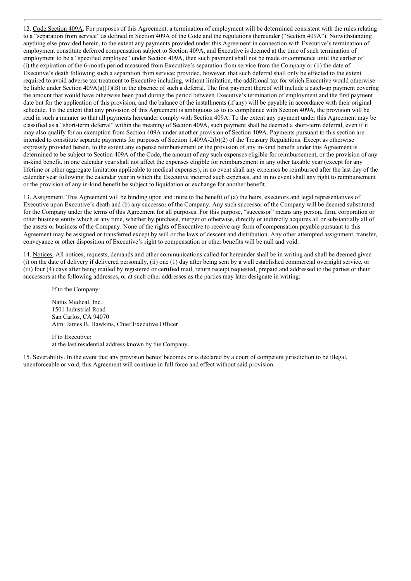12. Code Section 409A. For purposes of this Agreement, a termination of employment will be determined consistent with the rules relating to a "separation from service" as defined in Section 409A of the Code and the regulations thereunder ("Section 409A"). Notwithstanding anything else provided herein, to the extent any payments provided under this Agreement in connection with Executive's termination of employment constitute deferred compensation subject to Section 409A, and Executive is deemed at the time of such termination of employment to be a "specified employee" under Section 409A, then such payment shall not be made or commence until the earlier of (i) the expiration of the 6-month period measured from Executive's separation from service from the Company or (ii) the date of Executive's death following such a separation from service; provided, however, that such deferral shall only be effected to the extent required to avoid adverse tax treatment to Executive including, without limitation, the additional tax for which Executive would otherwise be liable under Section 409A(a)(1)(B) in the absence of such a deferral. The first payment thereof will include a catch-up payment covering the amount that would have otherwise been paid during the period between Executive's termination of employment and the first payment date but for the application of this provision, and the balance of the installments (if any) will be payable in accordance with their original schedule. To the extent that any provision of this Agreement is ambiguous as to its compliance with Section 409A, the provision will be read in such a manner so that all payments hereunder comply with Section 409A. To the extent any payment under this Agreement may be classified as a "short-term deferral" within the meaning of Section 409A, such payment shall be deemed a short-term deferral, even if it may also qualify for an exemption from Section 409A under another provision of Section 409A. Payments pursuant to this section are intended to constitute separate payments for purposes of Section 1.409A-2(b)(2) of the Treasury Regulations. Except as otherwise expressly provided herein, to the extent any expense reimbursement or the provision of any in-kind benefit under this Agreement is determined to be subject to Section 409A of the Code, the amount of any such expenses eligible for reimbursement, or the provision of any in-kind benefit, in one calendar year shall not affect the expenses eligible for reimbursement in any other taxable year (except for any lifetime or other aggregate limitation applicable to medical expenses), in no event shall any expenses be reimbursed after the last day of the calendar year following the calendar year in which the Executive incurred such expenses, and in no event shall any right to reimbursement or the provision of any in-kind benefit be subject to liquidation or exchange for another benefit.

13. Assignment. This Agreement will be binding upon and inure to the benefit of (a) the heirs, executors and legal representatives of Executive upon Executive's death and (b) any successor of the Company. Any such successor of the Company will be deemed substituted for the Company under the terms of this Agreement for all purposes. For this purpose, "successor" means any person, firm, corporation or other business entity which at any time, whether by purchase, merger or otherwise, directly or indirectly acquires all or substantially all of the assets or business of the Company. None of the rights of Executive to receive any form of compensation payable pursuant to this Agreement may be assigned or transferred except by will or the laws of descent and distribution. Any other attempted assignment, transfer, conveyance or other disposition of Executive's right to compensation or other benefits will be null and void.

14. Notices. All notices, requests, demands and other communications called for hereunder shall be in writing and shall be deemed given (i) on the date of delivery if delivered personally, (ii) one (1) day after being sent by a well established commercial overnight service, or (iii) four (4) days after being mailed by registered or certified mail, return receipt requested, prepaid and addressed to the parties or their successors at the following addresses, or at such other addresses as the parties may later designate in writing:

If to the Company:

Natus Medical, Inc. 1501 Industrial Road San Carlos, CA 94070 Attn: James B. Hawkins, Chief Executive Officer

If to Executive: at the last residential address known by the Company.

15. Severability. In the event that any provision hereof becomes or is declared by a court of competent jurisdiction to be illegal, unenforceable or void, this Agreement will continue in full force and effect without said provision.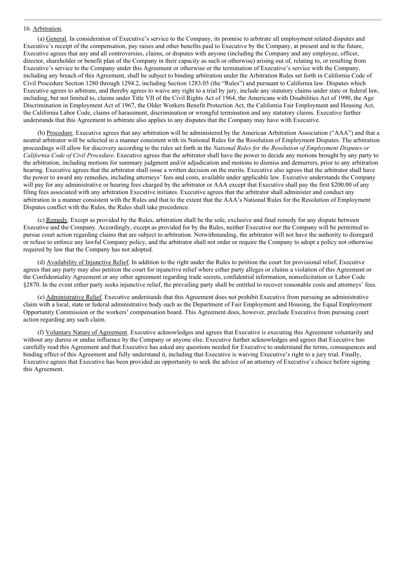## 16. Arbitration.

(a) General. In consideration of Executive's service to the Company, its promise to arbitrate all employment related disputes and Executive's receipt of the compensation, pay raises and other benefits paid to Executive by the Company, at present and in the future, Executive agrees that any and all controversies, claims, or disputes with anyone (including the Company and any employee, officer, director, shareholder or benefit plan of the Company in their capacity as such or otherwise) arising out of, relating to, or resulting from Executive's service to the Company under this Agreement or otherwise or the termination of Executive's service with the Company, including any breach of this Agreement, shall be subject to binding arbitration under the Arbitration Rules set forth in California Code of Civil Procedure Section 1280 through 1294.2, including Section 1283.05 (the "Rules") and pursuant to California law. Disputes which Executive agrees to arbitrate, and thereby agrees to waive any right to a trial by jury, include any statutory claims under state or federal law, including, but not limited to, claims under Title VII of the Civil Rights Act of 1964, the Americans with Disabilities Act of 1990, the Age Discrimination in Employment Act of 1967, the Older Workers Benefit Protection Act, the California Fair Employment and Housing Act, the California Labor Code, claims of harassment, discrimination or wrongful termination and any statutory claims. Executive further understands that this Agreement to arbitrate also applies to any disputes that the Company may have with Executive.

(b) Procedure. Executive agrees that any arbitration will be administered by the American Arbitration Association ("AAA") and that a neutral arbitrator will be selected in a manner consistent with its National Rules for the Resolution of Employment Disputes. The arbitration proceedings will allow for discovery according to the rules set forth in the *National Rules for the Resolution of Employment Disputes or California Code of Civil Procedure*. Executive agrees that the arbitrator shall have the power to decide any motions brought by any party to the arbitration, including motions for summary judgment and/or adjudication and motions to dismiss and demurrers, prior to any arbitration hearing. Executive agrees that the arbitrator shall issue a written decision on the merits. Executive also agrees that the arbitrator shall have the power to award any remedies, including attorneys' fees and costs, available under applicable law. Executive understands the Company will pay for any administrative or hearing fees charged by the arbitrator or AAA except that Executive shall pay the first \$200.00 of any filing fees associated with any arbitration Executive initiates. Executive agrees that the arbitrator shall administer and conduct any arbitration in a manner consistent with the Rules and that to the extent that the AAA's National Rules for the Resolution of Employment Disputes conflict with the Rules, the Rules shall take precedence.

(c) Remedy. Except as provided by the Rules, arbitration shall be the sole, exclusive and final remedy for any dispute between Executive and the Company. Accordingly, except as provided for by the Rules, neither Executive nor the Company will be permitted to pursue court action regarding claims that are subject to arbitration. Notwithstanding, the arbitrator will not have the authority to disregard or refuse to enforce any lawful Company policy, and the arbitrator shall not order or require the Company to adopt a policy not otherwise required by law that the Company has not adopted.

(d) Availability of Injunctive Relief. In addition to the right under the Rules to petition the court for provisional relief, Executive agrees that any party may also petition the court for injunctive relief where either party alleges or claims a violation of this Agreement or the Confidentiality Agreement or any other agreement regarding trade secrets, confidential information, nonsolicitation or Labor Code §2870. In the event either party seeks injunctive relief, the prevailing party shall be entitled to recover reasonable costs and attorneys' fees.

(e) Administrative Relief. Executive understands that this Agreement does not prohibit Executive from pursuing an administrative claim with a local, state or federal administrative body such as the Department of Fair Employment and Housing, the Equal Employment Opportunity Commission or the workers' compensation board. This Agreement does, however, preclude Executive from pursuing court action regarding any such claim.

(f) Voluntary Nature of Agreement. Executive acknowledges and agrees that Executive is executing this Agreement voluntarily and without any duress or undue influence by the Company or anyone else. Executive further acknowledges and agrees that Executive has carefully read this Agreement and that Executive has asked any questions needed for Executive to understand the terms, consequences and binding effect of this Agreement and fully understand it, including that Executive is waiving Executive's right to a jury trial. Finally, Executive agrees that Executive has been provided an opportunity to seek the advice of an attorney of Executive's choice before signing this Agreement.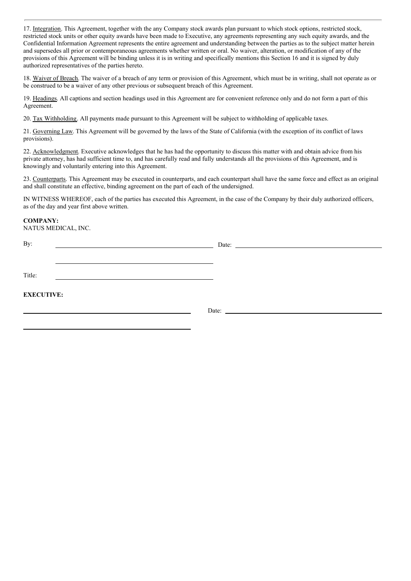17. Integration. This Agreement, together with the any Company stock awards plan pursuant to which stock options, restricted stock, restricted stock units or other equity awards have been made to Executive, any agreements representing any such equity awards, and the Confidential Information Agreement represents the entire agreement and understanding between the parties as to the subject matter herein and supersedes all prior or contemporaneous agreements whether written or oral. No waiver, alteration, or modification of any of the provisions of this Agreement will be binding unless it is in writing and specifically mentions this Section 16 and it is signed by duly authorized representatives of the parties hereto.

18. Waiver of Breach. The waiver of a breach of any term or provision of this Agreement, which must be in writing, shall not operate as or be construed to be a waiver of any other previous or subsequent breach of this Agreement.

19. Headings. All captions and section headings used in this Agreement are for convenient reference only and do not form a part of this Agreement.

20. Tax Withholding. All payments made pursuant to this Agreement will be subject to withholding of applicable taxes.

21. Governing Law. This Agreement will be governed by the laws of the State of California (with the exception of its conflict of laws provisions).

22. Acknowledgment. Executive acknowledges that he has had the opportunity to discuss this matter with and obtain advice from his private attorney, has had sufficient time to, and has carefully read and fully understands all the provisions of this Agreement, and is knowingly and voluntarily entering into this Agreement.

23. Counterparts. This Agreement may be executed in counterparts, and each counterpart shall have the same force and effect as an original and shall constitute an effective, binding agreement on the part of each of the undersigned.

IN WITNESS WHEREOF, each of the parties has executed this Agreement, in the case of the Company by their duly authorized officers, as of the day and year first above written.

## **COMPANY:**

NATUS MEDICAL, INC.

By: Date:

Title:

**EXECUTIVE:**

Date: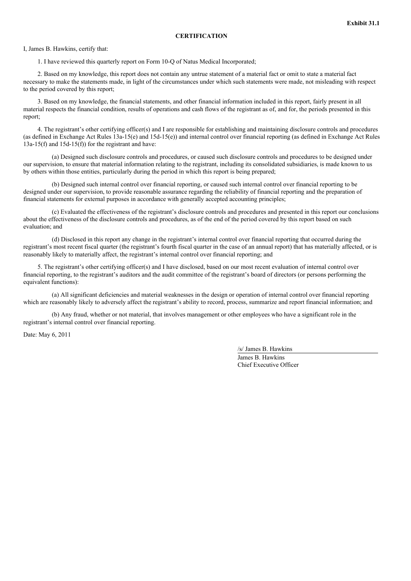# **CERTIFICATION**

## I, James B. Hawkins, certify that:

1. I have reviewed this quarterly report on Form 10-Q of Natus Medical Incorporated;

2. Based on my knowledge, this report does not contain any untrue statement of a material fact or omit to state a material fact necessary to make the statements made, in light of the circumstances under which such statements were made, not misleading with respect to the period covered by this report;

3. Based on my knowledge, the financial statements, and other financial information included in this report, fairly present in all material respects the financial condition, results of operations and cash flows of the registrant as of, and for, the periods presented in this report;

4. The registrant's other certifying officer(s) and I are responsible for establishing and maintaining disclosure controls and procedures (as defined in Exchange Act Rules 13a-15(e) and 15d-15(e)) and internal control over financial reporting (as defined in Exchange Act Rules 13a-15(f) and 15d-15(f)) for the registrant and have:

(a) Designed such disclosure controls and procedures, or caused such disclosure controls and procedures to be designed under our supervision, to ensure that material information relating to the registrant, including its consolidated subsidiaries, is made known to us by others within those entities, particularly during the period in which this report is being prepared;

(b) Designed such internal control over financial reporting, or caused such internal control over financial reporting to be designed under our supervision, to provide reasonable assurance regarding the reliability of financial reporting and the preparation of financial statements for external purposes in accordance with generally accepted accounting principles;

(c) Evaluated the effectiveness of the registrant's disclosure controls and procedures and presented in this report our conclusions about the effectiveness of the disclosure controls and procedures, as of the end of the period covered by this report based on such evaluation; and

(d) Disclosed in this report any change in the registrant's internal control over financial reporting that occurred during the registrant's most recent fiscal quarter (the registrant's fourth fiscal quarter in the case of an annual report) that has materially affected, or is reasonably likely to materially affect, the registrant's internal control over financial reporting; and

5. The registrant's other certifying officer(s) and I have disclosed, based on our most recent evaluation of internal control over financial reporting, to the registrant's auditors and the audit committee of the registrant's board of directors (or persons performing the equivalent functions):

(a) All significant deficiencies and material weaknesses in the design or operation of internal control over financial reporting which are reasonably likely to adversely affect the registrant's ability to record, process, summarize and report financial information; and

(b) Any fraud, whether or not material, that involves management or other employees who have a significant role in the registrant's internal control over financial reporting.

Date: May 6, 2011

/s/ James B. Hawkins James B. Hawkins

Chief Executive Officer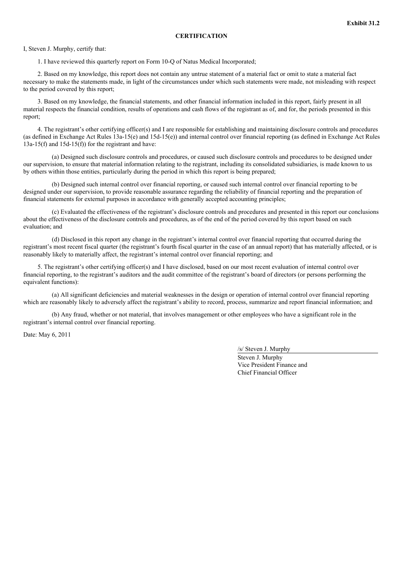# **CERTIFICATION**

## I, Steven J. Murphy, certify that:

1. I have reviewed this quarterly report on Form 10-Q of Natus Medical Incorporated;

2. Based on my knowledge, this report does not contain any untrue statement of a material fact or omit to state a material fact necessary to make the statements made, in light of the circumstances under which such statements were made, not misleading with respect to the period covered by this report;

3. Based on my knowledge, the financial statements, and other financial information included in this report, fairly present in all material respects the financial condition, results of operations and cash flows of the registrant as of, and for, the periods presented in this report;

4. The registrant's other certifying officer(s) and I are responsible for establishing and maintaining disclosure controls and procedures (as defined in Exchange Act Rules 13a-15(e) and 15d-15(e)) and internal control over financial reporting (as defined in Exchange Act Rules 13a-15(f) and 15d-15(f)) for the registrant and have:

(a) Designed such disclosure controls and procedures, or caused such disclosure controls and procedures to be designed under our supervision, to ensure that material information relating to the registrant, including its consolidated subsidiaries, is made known to us by others within those entities, particularly during the period in which this report is being prepared;

(b) Designed such internal control over financial reporting, or caused such internal control over financial reporting to be designed under our supervision, to provide reasonable assurance regarding the reliability of financial reporting and the preparation of financial statements for external purposes in accordance with generally accepted accounting principles;

(c) Evaluated the effectiveness of the registrant's disclosure controls and procedures and presented in this report our conclusions about the effectiveness of the disclosure controls and procedures, as of the end of the period covered by this report based on such evaluation; and

(d) Disclosed in this report any change in the registrant's internal control over financial reporting that occurred during the registrant's most recent fiscal quarter (the registrant's fourth fiscal quarter in the case of an annual report) that has materially affected, or is reasonably likely to materially affect, the registrant's internal control over financial reporting; and

5. The registrant's other certifying officer(s) and I have disclosed, based on our most recent evaluation of internal control over financial reporting, to the registrant's auditors and the audit committee of the registrant's board of directors (or persons performing the equivalent functions):

(a) All significant deficiencies and material weaknesses in the design or operation of internal control over financial reporting which are reasonably likely to adversely affect the registrant's ability to record, process, summarize and report financial information; and

(b) Any fraud, whether or not material, that involves management or other employees who have a significant role in the registrant's internal control over financial reporting.

Date: May 6, 2011

/s/ Steven J. Murphy

Steven J. Murphy Vice President Finance and Chief Financial Officer